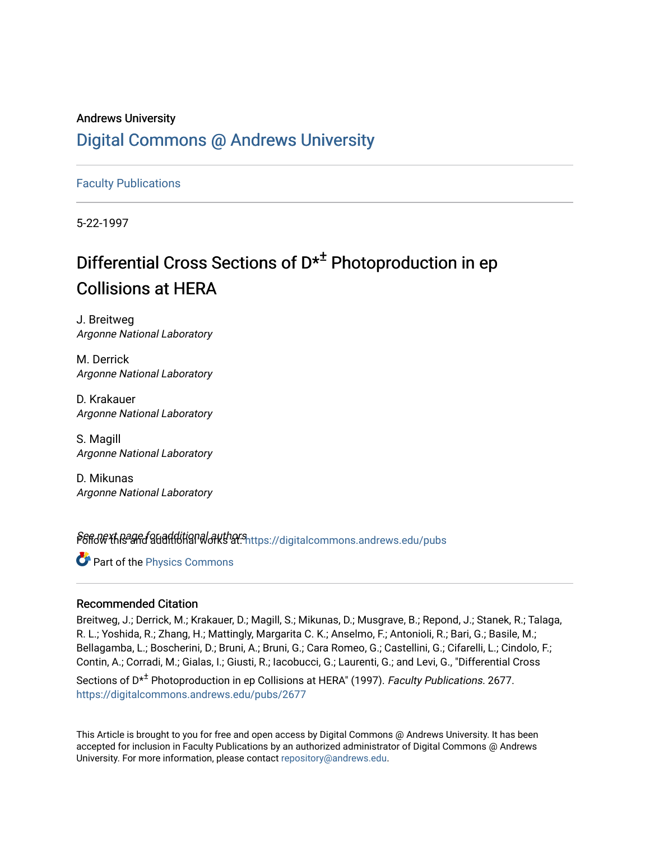## Andrews University [Digital Commons @ Andrews University](https://digitalcommons.andrews.edu/)

[Faculty Publications](https://digitalcommons.andrews.edu/pubs)

5-22-1997

## Differential Cross Sections of  $D^{\star^{\pm}}$  Photoproduction in ep Collisions at HERA

J. Breitweg Argonne National Laboratory

M. Derrick Argonne National Laboratory

D. Krakauer Argonne National Laboratory

S. Magill Argonne National Laboratory

D. Mikunas Argonne National Laboratory

Pert of the and additional authors introduction mons.andrews.edu/pubs

Part of the [Physics Commons](http://network.bepress.com/hgg/discipline/193?utm_source=digitalcommons.andrews.edu%2Fpubs%2F2677&utm_medium=PDF&utm_campaign=PDFCoverPages)

#### Recommended Citation

Breitweg, J.; Derrick, M.; Krakauer, D.; Magill, S.; Mikunas, D.; Musgrave, B.; Repond, J.; Stanek, R.; Talaga, R. L.; Yoshida, R.; Zhang, H.; Mattingly, Margarita C. K.; Anselmo, F.; Antonioli, R.; Bari, G.; Basile, M.; Bellagamba, L.; Boscherini, D.; Bruni, A.; Bruni, G.; Cara Romeo, G.; Castellini, G.; Cifarelli, L.; Cindolo, F.; Contin, A.; Corradi, M.; Gialas, I.; Giusti, R.; Iacobucci, G.; Laurenti, G.; and Levi, G., "Differential Cross

Sections of  $D^{\star\pm}$  Photoproduction in ep Collisions at HERA" (1997). Faculty Publications. 2677. [https://digitalcommons.andrews.edu/pubs/2677](https://digitalcommons.andrews.edu/pubs/2677?utm_source=digitalcommons.andrews.edu%2Fpubs%2F2677&utm_medium=PDF&utm_campaign=PDFCoverPages) 

This Article is brought to you for free and open access by Digital Commons @ Andrews University. It has been accepted for inclusion in Faculty Publications by an authorized administrator of Digital Commons @ Andrews University. For more information, please contact [repository@andrews.edu](mailto:repository@andrews.edu).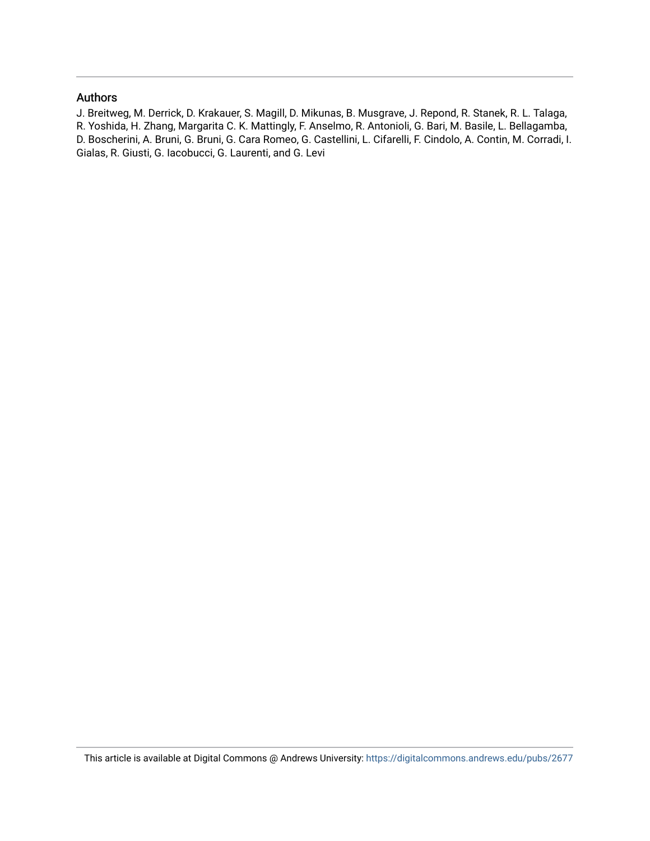#### Authors

J. Breitweg, M. Derrick, D. Krakauer, S. Magill, D. Mikunas, B. Musgrave, J. Repond, R. Stanek, R. L. Talaga, R. Yoshida, H. Zhang, Margarita C. K. Mattingly, F. Anselmo, R. Antonioli, G. Bari, M. Basile, L. Bellagamba, D. Boscherini, A. Bruni, G. Bruni, G. Cara Romeo, G. Castellini, L. Cifarelli, F. Cindolo, A. Contin, M. Corradi, I. Gialas, R. Giusti, G. Iacobucci, G. Laurenti, and G. Levi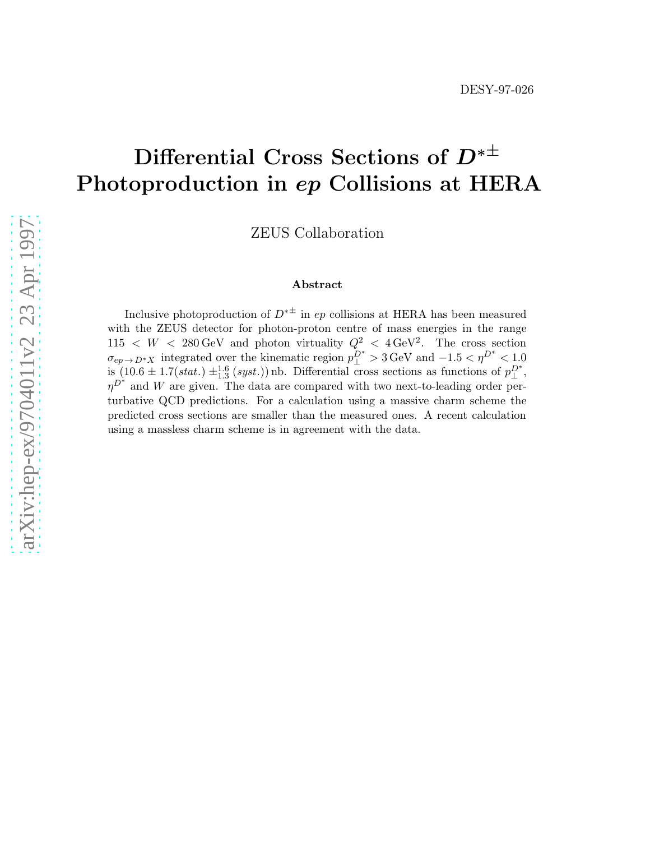# Differential Cross Sections of  $D^{* \pm}$ Photoproduction in ep Collisions at HERA

ZEUS Collaboration

#### Abstract

Inclusive photoproduction of  $D^{* \pm}$  in ep collisions at HERA has been measured with the ZEUS detector for photon-proton centre of mass energies in the range  $115 \leq W \leq 280 \,\text{GeV}$  and photon virtuality  $Q^2 \leq 4 \,\text{GeV}^2$ . The cross section  $\sigma_{ep\rightarrow D^*X}$  integrated over the kinematic region  $p_{\perp}^{D^*} > 3 \,\text{GeV}$  and  $-1.5 < \eta^{D^*} < 1.0$  $\lim_{x \to 0} (10.6 \pm 1.7(stat.) \pm \frac{1.6}{1.3}(syst.))$  nb. Differential cross sections as functions of  $p_{\perp}^{D^*}$ ,  $\eta^{D^*}$  and W are given. The data are compared with two next-to-leading order perturbative QCD predictions. For a calculation using a massive charm scheme the predicted cross sections are smaller than the measured ones. A recent calculation using a massless charm scheme is in agreement with the data.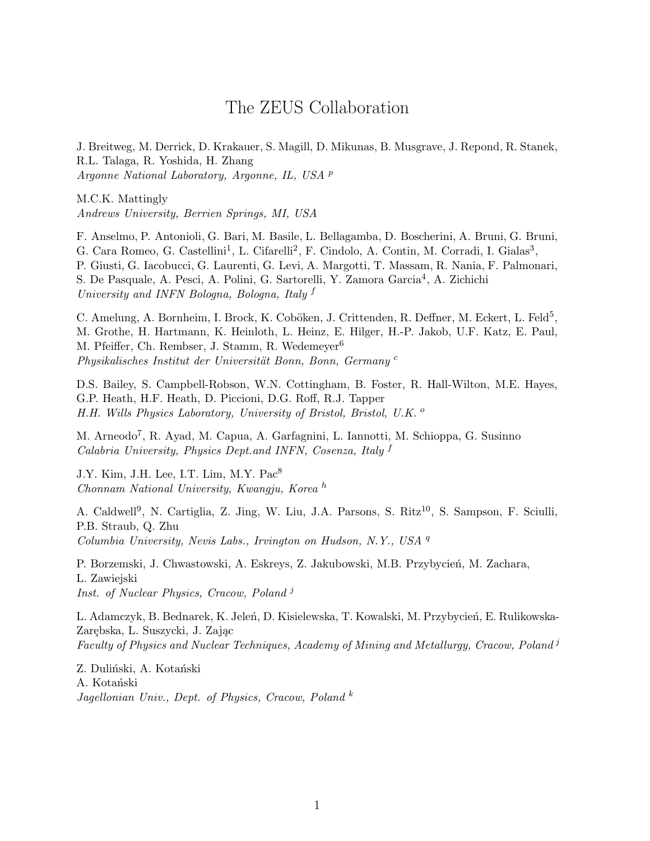## The ZEUS Collaboration

J. Breitweg, M. Derrick, D. Krakauer, S. Magill, D. Mikunas, B. Musgrave, J. Repond, R. Stanek, R.L. Talaga, R. Yoshida, H. Zhang Argonne National Laboratory, Argonne, IL, USA <sup>p</sup>

M.C.K. Mattingly Andrews University, Berrien Springs, MI, USA

F. Anselmo, P. Antonioli, G. Bari, M. Basile, L. Bellagamba, D. Boscherini, A. Bruni, G. Bruni, G. Cara Romeo, G. Castellini<sup>1</sup>, L. Cifarelli<sup>2</sup>, F. Cindolo, A. Contin, M. Corradi, I. Gialas<sup>3</sup>, P. Giusti, G. Iacobucci, G. Laurenti, G. Levi, A. Margotti, T. Massam, R. Nania, F. Palmonari, S. De Pasquale, A. Pesci, A. Polini, G. Sartorelli, Y. Zamora Garcia<sup>4</sup>, A. Zichichi University and INFN Bologna, Bologna, Italy f

C. Amelung, A. Bornheim, I. Brock, K. Coböken, J. Crittenden, R. Deffner, M. Eckert, L. Feld<sup>5</sup>, M. Grothe, H. Hartmann, K. Heinloth, L. Heinz, E. Hilger, H.-P. Jakob, U.F. Katz, E. Paul, M. Pfeiffer, Ch. Rembser, J. Stamm, R. Wedemeyer<sup>6</sup> Physikalisches Institut der Universität Bonn, Bonn, Germany<sup>c</sup>

D.S. Bailey, S. Campbell-Robson, W.N. Cottingham, B. Foster, R. Hall-Wilton, M.E. Hayes, G.P. Heath, H.F. Heath, D. Piccioni, D.G. Roff, R.J. Tapper H.H. Wills Physics Laboratory, University of Bristol, Bristol, U.K. <sup>o</sup>

M. Arneodo<sup>7</sup>, R. Ayad, M. Capua, A. Garfagnini, L. Iannotti, M. Schioppa, G. Susinno Calabria University, Physics Dept.and INFN, Cosenza, Italy <sup>f</sup>

J.Y. Kim, J.H. Lee, I.T. Lim, M.Y. Pac<sup>8</sup> Chonnam National University, Kwangju, Korea <sup>h</sup>

A. Caldwell<sup>9</sup>, N. Cartiglia, Z. Jing, W. Liu, J.A. Parsons, S. Ritz<sup>10</sup>, S. Sampson, F. Sciulli, P.B. Straub, Q. Zhu Columbia University, Nevis Labs., Irvington on Hudson, N.Y., USA <sup>q</sup>

P. Borzemski, J. Chwastowski, A. Eskreys, Z. Jakubowski, M.B. Przybycień, M. Zachara, L. Zawiejski Inst. of Nuclear Physics, Cracow, Poland<sup>j</sup>

L. Adamczyk, B. Bednarek, K. Jeleń, D. Kisielewska, T. Kowalski, M. Przybycień, E. Rulikowska-Zarębska, L. Suszycki, J. Zając Faculty of Physics and Nuclear Techniques, Academy of Mining and Metallurgy, Cracow, Poland<sup>3</sup>

Z. Duliński, A. Kotański A. Kotański Jagellonian Univ., Dept. of Physics, Cracow, Poland  $^k$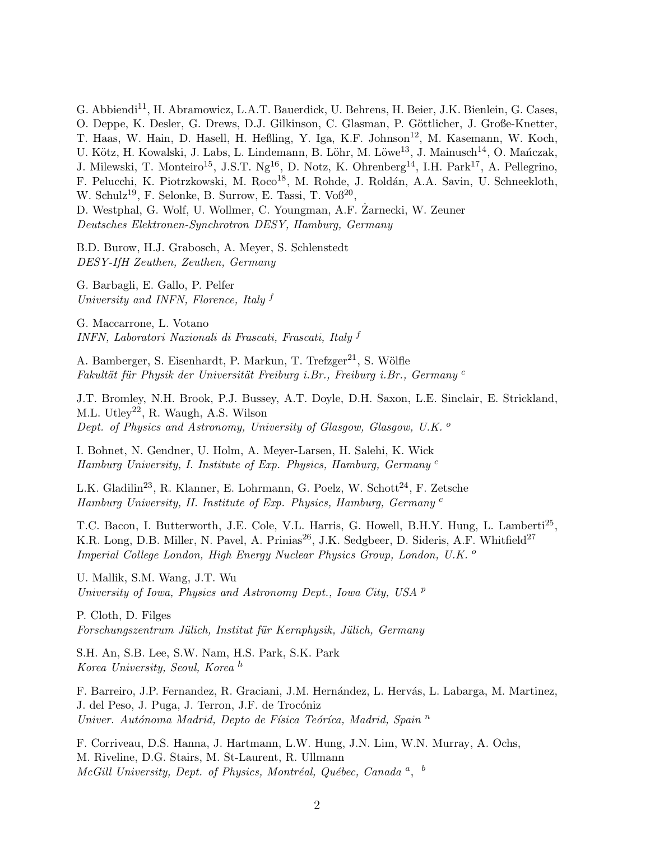G. Abbiendi<sup>11</sup>, H. Abramowicz, L.A.T. Bauerdick, U. Behrens, H. Beier, J.K. Bienlein, G. Cases, O. Deppe, K. Desler, G. Drews, D.J. Gilkinson, C. Glasman, P. Göttlicher, J. Große-Knetter, T. Haas, W. Hain, D. Hasell, H. Heßling, Y. Iga, K.F. Johnson<sup>12</sup>, M. Kasemann, W. Koch, U. Kötz, H. Kowalski, J. Labs, L. Lindemann, B. Löhr, M. Löwe<sup>13</sup>, J. Mainusch<sup>14</sup>, O. Mańczak, J. Milewski, T. Monteiro<sup>15</sup>, J.S.T. Ng<sup>16</sup>, D. Notz, K. Ohrenberg<sup>14</sup>, I.H. Park<sup>17</sup>, A. Pellegrino, F. Pelucchi, K. Piotrzkowski, M. Roco<sup>18</sup>, M. Rohde, J. Roldán, A.A. Savin, U. Schneekloth, W. Schulz<sup>19</sup>, F. Selonke, B. Surrow, E. Tassi, T. Voß<sup>20</sup>, D. Westphal, G. Wolf, U. Wollmer, C. Youngman, A.F. Zarnecki, W. Zeuner ˙

Deutsches Elektronen-Synchrotron DESY, Hamburg, Germany

B.D. Burow, H.J. Grabosch, A. Meyer, S. Schlenstedt DESY-IfH Zeuthen, Zeuthen, Germany

G. Barbagli, E. Gallo, P. Pelfer University and INFN, Florence, Italy <sup>f</sup>

G. Maccarrone, L. Votano INFN, Laboratori Nazionali di Frascati, Frascati, Italy <sup>f</sup>

A. Bamberger, S. Eisenhardt, P. Markun, T. Trefzger<sup>21</sup>, S. Wölfle Fakultät für Physik der Universität Freiburg i.Br., Freiburg i.Br., Germany  $c$ 

J.T. Bromley, N.H. Brook, P.J. Bussey, A.T. Doyle, D.H. Saxon, L.E. Sinclair, E. Strickland, M.L. Utley<sup>22</sup>, R. Waugh, A.S. Wilson Dept. of Physics and Astronomy, University of Glasgow, Glasgow, U.K.<sup>o</sup>

I. Bohnet, N. Gendner, U. Holm, A. Meyer-Larsen, H. Salehi, K. Wick Hamburg University, I. Institute of Exp. Physics, Hamburg, Germany <sup>c</sup>

L.K. Gladilin<sup>23</sup>, R. Klanner, E. Lohrmann, G. Poelz, W. Schott<sup>24</sup>, F. Zetsche Hamburg University, II. Institute of Exp. Physics, Hamburg, Germany <sup>c</sup>

T.C. Bacon, I. Butterworth, J.E. Cole, V.L. Harris, G. Howell, B.H.Y. Hung, L. Lamberti<sup>25</sup>, K.R. Long, D.B. Miller, N. Pavel, A. Prinias<sup>26</sup>, J.K. Sedgbeer, D. Sideris, A.F. Whitfield<sup>27</sup> Imperial College London, High Energy Nuclear Physics Group, London, U.K.<sup>o</sup>

U. Mallik, S.M. Wang, J.T. Wu University of Iowa, Physics and Astronomy Dept., Iowa City, USA <sup>p</sup>

P. Cloth, D. Filges Forschungszentrum Jülich, Institut für Kernphysik, Jülich, Germany

S.H. An, S.B. Lee, S.W. Nam, H.S. Park, S.K. Park Korea University, Seoul, Korea <sup>h</sup>

F. Barreiro, J.P. Fernandez, R. Graciani, J.M. Hernández, L. Hervás, L. Labarga, M. Martinez, J. del Peso, J. Puga, J. Terron, J.F. de Trocóniz Univer. Autónoma Madrid, Depto de Física Teóríca, Madrid, Spain  $<sup>n</sup>$ </sup>

F. Corriveau, D.S. Hanna, J. Hartmann, L.W. Hung, J.N. Lim, W.N. Murray, A. Ochs, M. Riveline, D.G. Stairs, M. St-Laurent, R. Ullmann McGill University, Dept. of Physics, Montréal, Québec, Canada<sup>a</sup>, <sup>b</sup>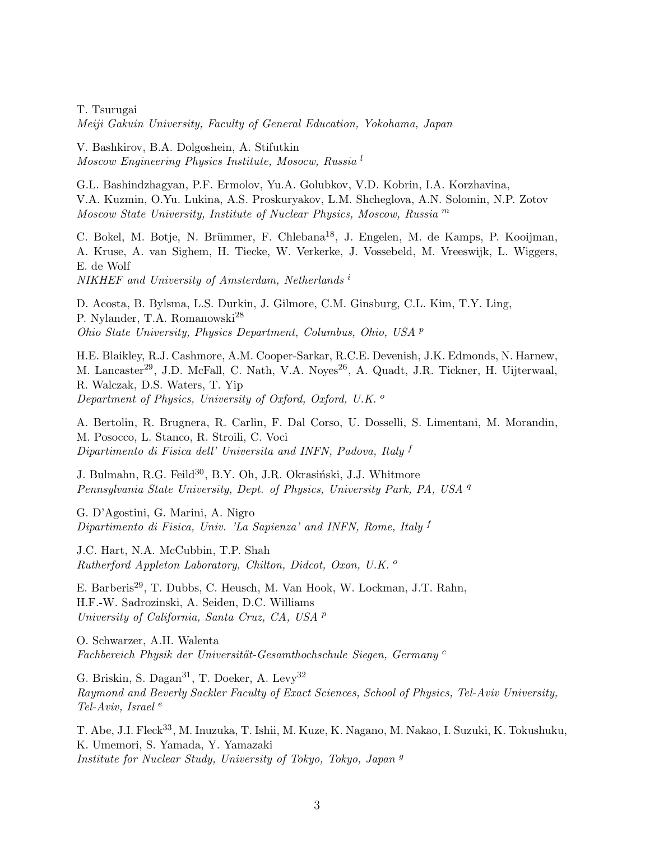T. Tsurugai Meiji Gakuin University, Faculty of General Education, Yokohama, Japan

V. Bashkirov, B.A. Dolgoshein, A. Stifutkin Moscow Engineering Physics Institute, Mosocw, Russia <sup>l</sup>

G.L. Bashindzhagyan, P.F. Ermolov, Yu.A. Golubkov, V.D. Kobrin, I.A. Korzhavina, V.A. Kuzmin, O.Yu. Lukina, A.S. Proskuryakov, L.M. Shcheglova, A.N. Solomin, N.P. Zotov Moscow State University, Institute of Nuclear Physics, Moscow, Russia <sup>m</sup>

C. Bokel, M. Botje, N. Brümmer, F. Chlebana<sup>18</sup>, J. Engelen, M. de Kamps, P. Kooijman, A. Kruse, A. van Sighem, H. Tiecke, W. Verkerke, J. Vossebeld, M. Vreeswijk, L. Wiggers, E. de Wolf

NIKHEF and University of Amsterdam, Netherlands<sup>i</sup>

D. Acosta, B. Bylsma, L.S. Durkin, J. Gilmore, C.M. Ginsburg, C.L. Kim, T.Y. Ling, P. Nylander, T.A. Romanowski<sup>28</sup> Ohio State University, Physics Department, Columbus, Ohio, USA <sup>p</sup>

H.E. Blaikley, R.J. Cashmore, A.M. Cooper-Sarkar, R.C.E. Devenish, J.K. Edmonds, N. Harnew, M. Lancaster<sup>29</sup>, J.D. McFall, C. Nath, V.A. Noyes<sup>26</sup>, A. Quadt, J.R. Tickner, H. Uijterwaal, R. Walczak, D.S. Waters, T. Yip Department of Physics, University of Oxford, Oxford, U.K. <sup>o</sup>

A. Bertolin, R. Brugnera, R. Carlin, F. Dal Corso, U. Dosselli, S. Limentani, M. Morandin, M. Posocco, L. Stanco, R. Stroili, C. Voci Dipartimento di Fisica dell' Universita and INFN, Padova, Italy  $f$ 

J. Bulmahn, R.G. Feild<sup>30</sup>, B.Y. Oh, J.R. Okrasiński, J.J. Whitmore Pennsylvania State University, Dept. of Physics, University Park, PA, USA <sup>q</sup>

G. D'Agostini, G. Marini, A. Nigro Dipartimento di Fisica, Univ. 'La Sapienza' and INFN, Rome, Italy <sup>f</sup>

J.C. Hart, N.A. McCubbin, T.P. Shah Rutherford Appleton Laboratory, Chilton, Didcot, Oxon, U.K.<sup>o</sup>

E. Barberis<sup>29</sup>, T. Dubbs, C. Heusch, M. Van Hook, W. Lockman, J.T. Rahn, H.F.-W. Sadrozinski, A. Seiden, D.C. Williams University of California, Santa Cruz, CA, USA <sup>p</sup>

O. Schwarzer, A.H. Walenta Fachbereich Physik der Universität-Gesamthochschule Siegen, Germany<sup>c</sup>

G. Briskin, S. Dagan<sup>31</sup>, T. Doeker, A. Levy<sup>32</sup> Raymond and Beverly Sackler Faculty of Exact Sciences, School of Physics, Tel-Aviv University, Tel-Aviv, Israel  $^e$ 

T. Abe, J.I. Fleck<sup>33</sup>, M. Inuzuka, T. Ishii, M. Kuze, K. Nagano, M. Nakao, I. Suzuki, K. Tokushuku, K. Umemori, S. Yamada, Y. Yamazaki Institute for Nuclear Study, University of Tokyo, Tokyo, Japan <sup>g</sup>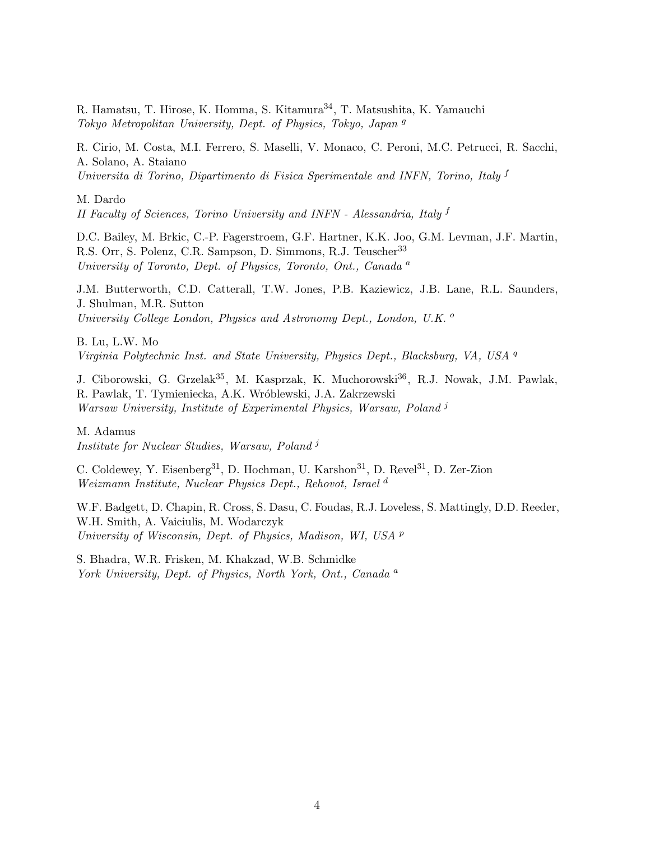R. Hamatsu, T. Hirose, K. Homma, S. Kitamura34, T. Matsushita, K. Yamauchi Tokyo Metropolitan University, Dept. of Physics, Tokyo, Japan <sup>g</sup>

R. Cirio, M. Costa, M.I. Ferrero, S. Maselli, V. Monaco, C. Peroni, M.C. Petrucci, R. Sacchi, A. Solano, A. Staiano Universita di Torino, Dipartimento di Fisica Sperimentale and INFN, Torino, Italy  $f$ 

M. Dardo II Faculty of Sciences, Torino University and INFN - Alessandria, Italy <sup>f</sup>

D.C. Bailey, M. Brkic, C.-P. Fagerstroem, G.F. Hartner, K.K. Joo, G.M. Levman, J.F. Martin, R.S. Orr, S. Polenz, C.R. Sampson, D. Simmons, R.J. Teuscher<sup>33</sup> University of Toronto, Dept. of Physics, Toronto, Ont., Canada<sup>a</sup>

J.M. Butterworth, C.D. Catterall, T.W. Jones, P.B. Kaziewicz, J.B. Lane, R.L. Saunders, J. Shulman, M.R. Sutton University College London, Physics and Astronomy Dept., London, U.K.<sup>o</sup>

B. Lu, L.W. Mo Virginia Polytechnic Inst. and State University, Physics Dept., Blacksburg, VA, USA <sup>q</sup>

J. Ciborowski, G. Grzelak35, M. Kasprzak, K. Muchorowski36, R.J. Nowak, J.M. Pawlak, R. Pawlak, T. Tymieniecka, A.K. Wróblewski, J.A. Zakrzewski Warsaw University, Institute of Experimental Physics, Warsaw, Poland<sup>j</sup>

M. Adamus Institute for Nuclear Studies, Warsaw, Poland<sup>j</sup>

C. Coldewey, Y. Eisenberg<sup>31</sup>, D. Hochman, U. Karshon<sup>31</sup>, D. Revel<sup>31</sup>, D. Zer-Zion Weizmann Institute, Nuclear Physics Dept., Rehovot, Israel d

W.F. Badgett, D. Chapin, R. Cross, S. Dasu, C. Foudas, R.J. Loveless, S. Mattingly, D.D. Reeder, W.H. Smith, A. Vaiciulis, M. Wodarczyk University of Wisconsin, Dept. of Physics, Madison, WI, USA <sup>p</sup>

S. Bhadra, W.R. Frisken, M. Khakzad, W.B. Schmidke York University, Dept. of Physics, North York, Ont., Canada<sup>a</sup>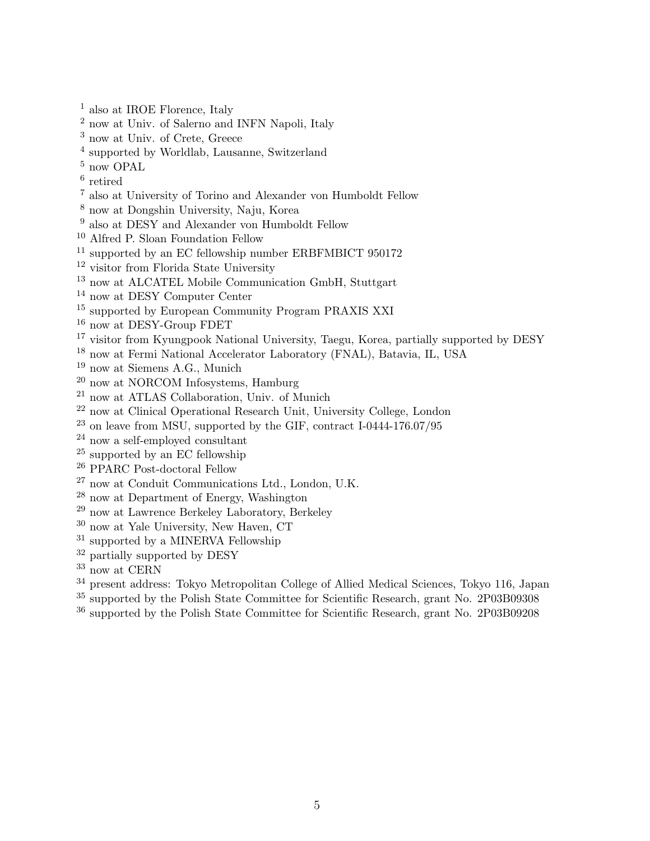- also at IROE Florence, Italy
- now at Univ. of Salerno and INFN Napoli, Italy
- now at Univ. of Crete, Greece
- supported by Worldlab, Lausanne, Switzerland
- now OPAL
- retired
- also at University of Torino and Alexander von Humboldt Fellow
- now at Dongshin University, Naju, Korea
- also at DESY and Alexander von Humboldt Fellow
- Alfred P. Sloan Foundation Fellow
- <sup>11</sup> supported by an EC fellowship number ERBFMBICT 950172
- visitor from Florida State University
- <sup>13</sup> now at ALCATEL Mobile Communication GmbH, Stuttgart
- now at DESY Computer Center
- supported by European Community Program PRAXIS XXI
- now at DESY-Group FDET
- visitor from Kyungpook National University, Taegu, Korea, partially supported by DESY
- now at Fermi National Accelerator Laboratory (FNAL), Batavia, IL, USA
- now at Siemens A.G., Munich
- <sup>20</sup> now at NORCOM Infosystems, Hamburg
- now at ATLAS Collaboration, Univ. of Munich
- $^{22}$ now at Clinical Operational Research Unit, University College, London
- on leave from MSU, supported by the GIF, contract I-0444-176.07/95
- now a self-employed consultant
- supported by an EC fellowship
- PPARC Post-doctoral Fellow
- now at Conduit Communications Ltd., London, U.K.
- now at Department of Energy, Washington
- now at Lawrence Berkeley Laboratory, Berkeley
- now at Yale University, New Haven, CT
- <sup>31</sup> supported by a MINERVA Fellowship
- <sup>32</sup> partially supported by DESY
- now at CERN
- <sup>34</sup> present address: Tokyo Metropolitan College of Allied Medical Sciences, Tokyo 116, Japan
- $35 \frac{\text{supported}}{\text{supported}}$  by the Polish State Committee for Scientific Research, grant No. 2P03B09308
- supported by the Polish State Committee for Scientific Research, grant No. 2P03B09208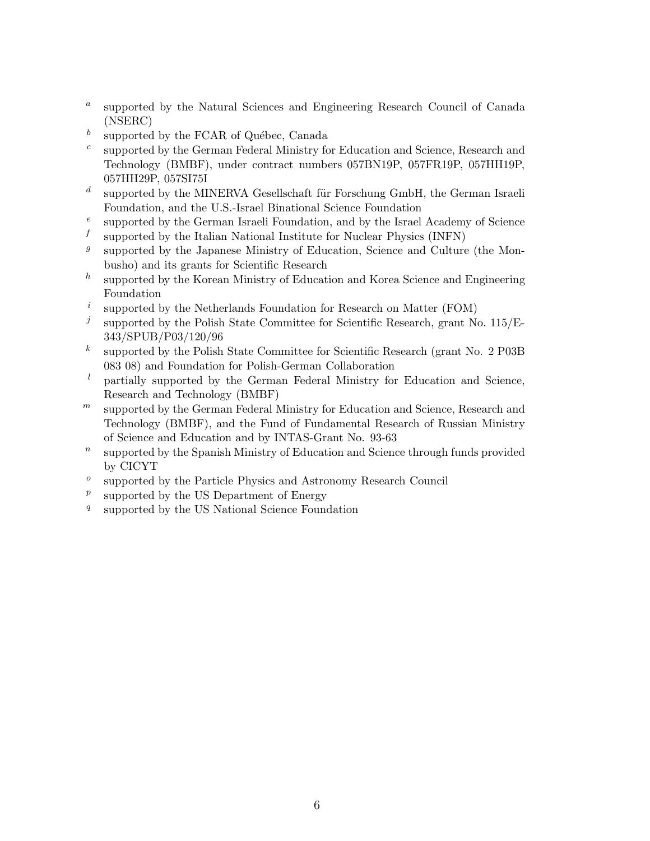- a supported by the Natural Sciences and Engineering Research Council of Canada (NSERC)
- b supported by the FCAR of Québec, Canada
- c supported by the German Federal Ministry for Education and Science, Research and Technology (BMBF), under contract numbers 057BN19P, 057FR19P, 057HH19P, 057HH29P, 057SI75I
- d supported by the MINERVA Gesellschaft für Forschung GmbH, the German Israeli Foundation, and the U.S.-Israel Binational Science Foundation
- e supported by the German Israeli Foundation, and by the Israel Academy of Science
- f supported by the Italian National Institute for Nuclear Physics (INFN)
- $g$ supported by the Japanese Ministry of Education, Science and Culture (the Monbusho) and its grants for Scientific Research
- h supported by the Korean Ministry of Education and Korea Science and Engineering Foundation
- i supported by the Netherlands Foundation for Research on Matter (FOM)
- $\mathfrak{j}$ supported by the Polish State Committee for Scientific Research, grant No. 115/E-343/SPUB/P03/120/96
- $\boldsymbol{k}$ supported by the Polish State Committee for Scientific Research (grant No. 2 P03B 083 08) and Foundation for Polish-German Collaboration
- $l$  partially supported by the German Federal Ministry for Education and Science, Research and Technology (BMBF)
- $m$  supported by the German Federal Ministry for Education and Science, Research and Technology (BMBF), and the Fund of Fundamental Research of Russian Ministry of Science and Education and by INTAS-Grant No. 93-63
- $\boldsymbol{n}$ supported by the Spanish Ministry of Education and Science through funds provided by CICYT
- o supported by the Particle Physics and Astronomy Research Council
- $\boldsymbol{p}$ supported by the US Department of Energy
- $q_{\parallel}$ supported by the US National Science Foundation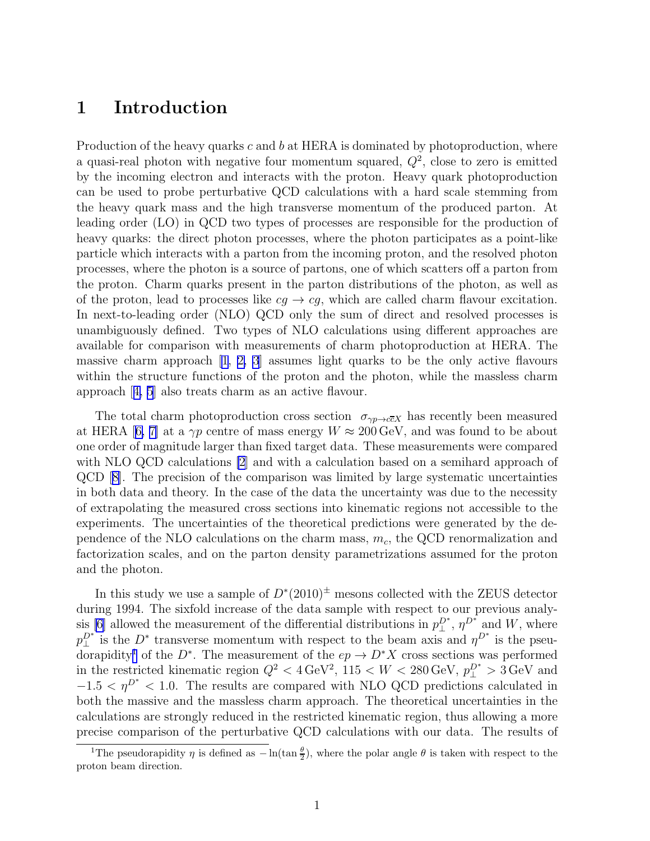### 1 Introduction

Production of the heavy quarks  $c$  and  $b$  at HERA is dominated by photoproduction, where a quasi-real photon with negative four momentum squared,  $Q^2$ , close to zero is emitted by the incoming electron and interacts with the proton. Heavy quark photoproduction can be used to probe perturbative QCD calculations with a hard scale stemming from the heavy quark mass and the high transverse momentum of the produced parton. At leading order (LO) in QCD two types of processes are responsible for the production of heavy quarks: the direct photon processes, where the photon participates as a point-like particle which interacts with a parton from the incoming proton, and the resolved photon processes, where the photon is a source of partons, one of which scatters off a parton from the proton. Charm quarks present in the parton distributions of the photon, as well as of the proton, lead to processes like  $cg \rightarrow cg$ , which are called charm flavour excitation. In next-to-leading order (NLO) QCD only the sum of direct and resolved processes is unambiguously defined. Two types of NLO calculations using different approaches are available for comparison with measurements of charm photoproduction at HERA. The massive charm approach [\[1, 2, 3](#page-21-0)] assumes light quarks to be the only active flavours within the structure functions of the proton and the photon, while the massless charm approach[[4, 5](#page-21-0)] also treats charm as an active flavour.

The total charm photoproduction cross section  $\sigma_{\gamma p \to c\bar{c}X}$  has recently been measured atHERA [[6, 7\]](#page-21-0) at a  $\gamma p$  centre of mass energy  $W \approx 200 \,\text{GeV}$ , and was found to be about one order of magnitude larger than fixed target data. These measurements were compared with NLO QCD calculations [\[2](#page-21-0)] and with a calculation based on a semihard approach of QCD[[8\]](#page-21-0). The precision of the comparison was limited by large systematic uncertainties in both data and theory. In the case of the data the uncertainty was due to the necessity of extrapolating the measured cross sections into kinematic regions not accessible to the experiments. The uncertainties of the theoretical predictions were generated by the dependence of the NLO calculations on the charm mass,  $m_c$ , the QCD renormalization and factorization scales, and on the parton density parametrizations assumed for the proton and the photon.

In this study we use a sample of  $D^*(2010)^{\pm}$  mesons collected with the ZEUS detector during 1994. The sixfold increase of the data sample with respect to our previous analy-sis [\[6](#page-21-0)] allowed the measurement of the differential distributions in  $p_{\perp}^{D^*}$ ,  $\eta^{D^*}$  and W, where  $p_{\perp}^{D^*}$  is the  $D^*$  transverse momentum with respect to the beam axis and  $\eta^{D^*}$  is the pseudorapidity<sup>1</sup> of the D<sup>∗</sup>. The measurement of the  $ep \to D^*X$  cross sections was performed in the restricted kinematic region  $Q^2 < 4 \text{ GeV}^2$ ,  $115 < W < 280 \text{ GeV}$ ,  $p_{\perp}^{D^*} > 3 \text{ GeV}$  and  $-1.5 < \eta^{D^*} < 1.0$ . The results are compared with NLO QCD predictions calculated in both the massive and the massless charm approach. The theoretical uncertainties in the calculations are strongly reduced in the restricted kinematic region, thus allowing a more precise comparison of the perturbative QCD calculations with our data. The results of

<sup>&</sup>lt;sup>1</sup>The pseudorapidity  $\eta$  is defined as  $-\ln(\tan \frac{\theta}{2})$ , where the polar angle  $\theta$  is taken with respect to the proton beam direction.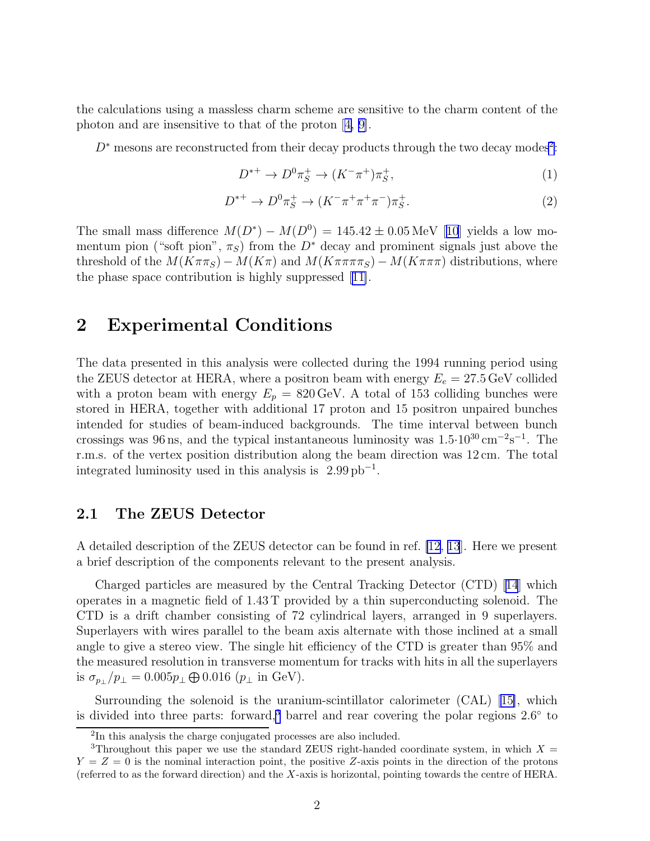<span id="page-10-0"></span>the calculations using a massless charm scheme are sensitive to the charm content of the photon and are insensitive to that of the proton[[4, 9\]](#page-21-0).

 $D^*$  mesons are reconstructed from their decay products through the two decay modes<sup>2</sup>:

$$
D^{*+} \to D^0 \pi_S^+ \to (K^- \pi^+) \pi_S^+,\tag{1}
$$

$$
D^{*+} \to D^0 \pi_S^+ \to (K^- \pi^+ \pi^+ \pi^-) \pi_S^+.
$$
 (2)

Thesmall mass difference  $M(D^*) - M(D^0) = 145.42 \pm 0.05 \,\text{MeV}$  [[10](#page-21-0)] yields a low momentum pion ("soft pion",  $\pi_S$ ) from the D<sup>\*</sup> decay and prominent signals just above the threshold of the  $M(K\pi\pi_S) - M(K\pi)$  and  $M(K\pi\pi\pi_S) - M(K\pi\pi)$  distributions, where the phase space contribution is highly suppressed[[11\]](#page-21-0).

## 2 Experimental Conditions

The data presented in this analysis were collected during the 1994 running period using the ZEUS detector at HERA, where a positron beam with energy  $E_e = 27.5 \,\text{GeV}$  collided with a proton beam with energy  $E_p = 820 \,\text{GeV}$ . A total of 153 colliding bunches were stored in HERA, together with additional 17 proton and 15 positron unpaired bunches intended for studies of beam-induced backgrounds. The time interval between bunch crossings was 96 ns, and the typical instantaneous luminosity was  $1.5 \cdot 10^{30} \text{ cm}^{-2} \text{s}^{-1}$ . The r.m.s. of the vertex position distribution along the beam direction was 12 cm. The total integrated luminosity used in this analysis is  $2.99 \text{ pb}^{-1}$ .

#### 2.1 The ZEUS Detector

A detailed description of the ZEUS detector can be found in ref. [\[12](#page-21-0), [13](#page-21-0)]. Here we present a brief description of the components relevant to the present analysis.

Charged particles are measured by the Central Tracking Detector (CTD)[[14](#page-21-0)] which operates in a magnetic field of 1.43 T provided by a thin superconducting solenoid. The CTD is a drift chamber consisting of 72 cylindrical layers, arranged in 9 superlayers. Superlayers with wires parallel to the beam axis alternate with those inclined at a small angle to give a stereo view. The single hit efficiency of the CTD is greater than 95% and the measured resolution in transverse momentum for tracks with hits in all the superlayers is  $\sigma_{p_{\perp}}/p_{\perp} = 0.005 p_{\perp} \oplus 0.016$  ( $p_{\perp}$  in GeV).

Surrounding the solenoid is the uranium-scintillator calorimeter (CAL) [\[15\]](#page-21-0), which is divided into three parts: forward,<sup>3</sup> barrel and rear covering the polar regions  $2.6^{\circ}$  to

<sup>&</sup>lt;sup>2</sup>In this analysis the charge conjugated processes are also included.

<sup>&</sup>lt;sup>3</sup>Throughout this paper we use the standard ZEUS right-handed coordinate system, in which  $X =$  $Y = Z = 0$  is the nominal interaction point, the positive Z-axis points in the direction of the protons (referred to as the forward direction) and the X-axis is horizontal, pointing towards the centre of HERA.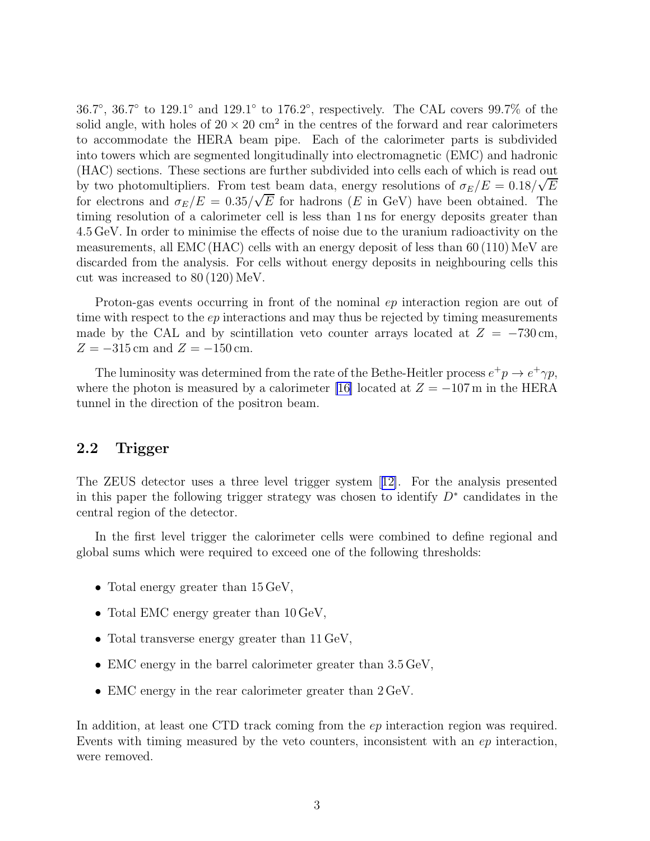36.7°, 36.7° to 129.1° and 129.1° to 176.2°, respectively. The CAL covers 99.7% of the solid angle, with holes of  $20 \times 20$  cm<sup>2</sup> in the centres of the forward and rear calorimeters to accommodate the HERA beam pipe. Each of the calorimeter parts is subdivided into towers which are segmented longitudinally into electromagnetic (EMC) and hadronic (HAC) sections. These sections are further subdivided into cells each of which is read out by two photomultipliers. From test beam data, energy resolutions of  $\sigma_E/E = 0.18/\sqrt{E}$ for electrons and  $\sigma_E/E = 0.35/\sqrt{E}$  for hadrons (E in GeV) have been obtained. The timing resolution of a calorimeter cell is less than 1 ns for energy deposits greater than 4.5 GeV. In order to minimise the effects of noise due to the uranium radioactivity on the measurements, all EMC (HAC) cells with an energy deposit of less than 60 (110) MeV are discarded from the analysis. For cells without energy deposits in neighbouring cells this cut was increased to 80 (120) MeV.

Proton-gas events occurring in front of the nominal ep interaction region are out of time with respect to the  $ep$  interactions and may thus be rejected by timing measurements made by the CAL and by scintillation veto counter arrays located at  $Z = -730$  cm,  $Z = -315$  cm and  $Z = -150$  cm.

The luminosity was determined from the rate of the Bethe-Heitler process  $e^+p \to e^+\gamma p$ , where the photon is measured by a calorimeter [\[16\]](#page-21-0) located at  $Z = -107$  m in the HERA tunnel in the direction of the positron beam.

#### 2.2 Trigger

The ZEUS detector uses a three level trigger system[[12\]](#page-21-0). For the analysis presented in this paper the following trigger strategy was chosen to identify  $D^*$  candidates in the central region of the detector.

In the first level trigger the calorimeter cells were combined to define regional and global sums which were required to exceed one of the following thresholds:

- Total energy greater than  $15 \,\text{GeV}$ ,
- Total EMC energy greater than  $10 \,\text{GeV}$ ,
- Total transverse energy greater than 11 GeV,
- EMC energy in the barrel calorimeter greater than  $3.5 \,\text{GeV}$ ,
- EMC energy in the rear calorimeter greater than  $2 \text{ GeV}$ .

In addition, at least one CTD track coming from the *ep* interaction region was required. Events with timing measured by the veto counters, inconsistent with an ep interaction, were removed.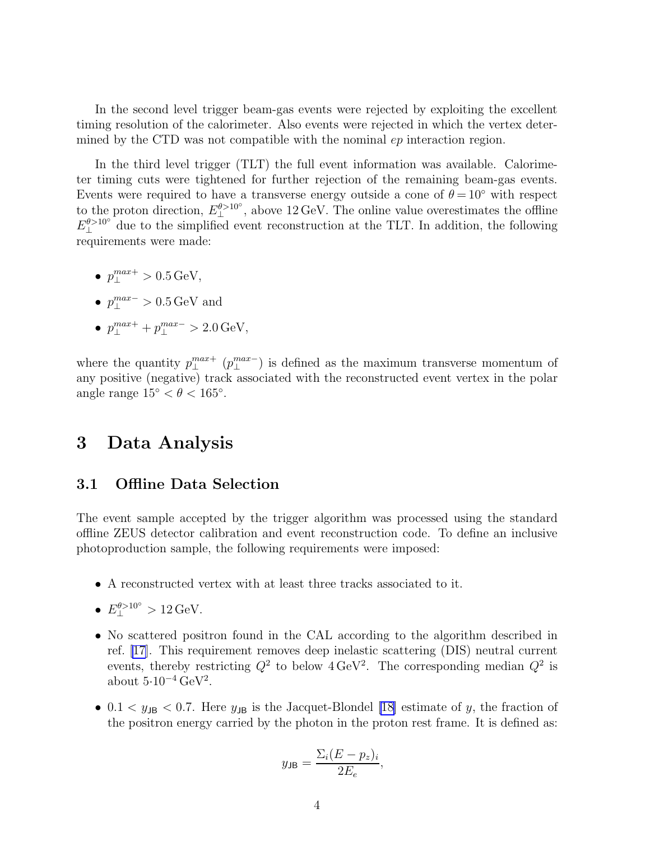In the second level trigger beam-gas events were rejected by exploiting the excellent timing resolution of the calorimeter. Also events were rejected in which the vertex determined by the CTD was not compatible with the nominal  $ep$  interaction region.

In the third level trigger (TLT) the full event information was available. Calorimeter timing cuts were tightened for further rejection of the remaining beam-gas events. Events were required to have a transverse energy outside a cone of  $\theta = 10°$  with respect to the proton direction,  $E_{\perp}^{\theta > 10^{\circ}}$ , above 12 GeV. The online value overestimates the offline  $E_{\perp}^{\theta > 10^{\circ}}$  due to the simplified event reconstruction at the TLT. In addition, the following requirements were made:

- $p_{\perp}^{max+} > 0.5 \,\text{GeV},$
- $p_{\perp}^{max-} > 0.5 \,\text{GeV}$  and
- $p_{\perp}^{max+} + p_{\perp}^{max-} > 2.0 \,\text{GeV},$

where the quantity  $p_{\perp}^{max+}$   $(p_{\perp}^{max-})$  is defined as the maximum transverse momentum of any positive (negative) track associated with the reconstructed event vertex in the polar angle range  $15° < \theta < 165°$ .

### 3 Data Analysis

#### 3.1 Offline Data Selection

The event sample accepted by the trigger algorithm was processed using the standard offline ZEUS detector calibration and event reconstruction code. To define an inclusive photoproduction sample, the following requirements were imposed:

- A reconstructed vertex with at least three tracks associated to it.
- $E_{\perp}^{\theta > 10^{\circ}} > 12 \,\text{GeV}.$
- No scattered positron found in the CAL according to the algorithm described in ref. [\[17](#page-21-0)]. This requirement removes deep inelastic scattering (DIS) neutral current events, thereby restricting  $Q^2$  to below  $4 \text{ GeV}^2$ . The corresponding median  $Q^2$  is about  $5.10^{-4} \text{ GeV}^2$ .
- 0.1  $\lt y_{\text{JB}}$   $\lt$  0.7. Here  $y_{\text{JB}}$  is the Jacquet-Blondel [\[18\]](#page-22-0) estimate of y, the fraction of the positron energy carried by the photon in the proton rest frame. It is defined as:

$$
y_{\text{JB}} = \frac{\Sigma_i (E - p_z)_i}{2E_e},
$$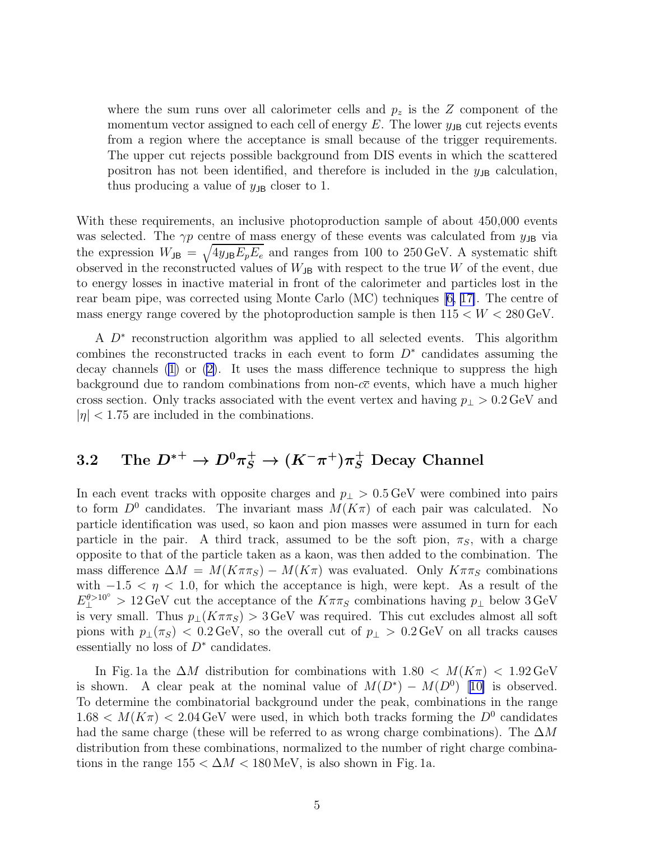where the sum runs over all calorimeter cells and  $p_z$  is the  $Z$  component of the momentum vector assigned to each cell of energy E. The lower  $y_{\text{JB}}$  cut rejects events from a region where the acceptance is small because of the trigger requirements. The upper cut rejects possible background from DIS events in which the scattered positron has not been identified, and therefore is included in the  $y_{\text{JB}}$  calculation, thus producing a value of  $y_{\text{JB}}$  closer to 1.

With these requirements, an inclusive photoproduction sample of about 450,000 events was selected. The  $\gamma p$  centre of mass energy of these events was calculated from  $y_{\text{JB}}$  via the expression  $W_{\text{JB}} = \sqrt{4y_{\text{JB}}E_pE_e}$  and ranges from 100 to 250 GeV. A systematic shift observed in the reconstructed values of  $W_{JB}$  with respect to the true W of the event, due to energy losses in inactive material in front of the calorimeter and particles lost in the rear beam pipe, was corrected using Monte Carlo (MC) techniques[[6, 17\]](#page-21-0). The centre of mass energy range covered by the photoproduction sample is then  $115 < W < 280 \,\text{GeV}$ .

A  $D^*$  reconstruction algorithm was applied to all selected events. This algorithm combines the reconstructed tracks in each event to form  $D^*$  candidates assuming the decay channels [\(1\)](#page-10-0) or([2\)](#page-10-0). It uses the mass difference technique to suppress the high background due to random combinations from non- $c\bar{c}$  events, which have a much higher cross section. Only tracks associated with the event vertex and having  $p_{\perp} > 0.2 \,\text{GeV}$  and  $|\eta|$  < 1.75 are included in the combinations.

## $3.2 \quad \text{ The } D^{*+} \rightarrow D^0 \pi_S^+ \rightarrow (K^- \pi^+) \pi_S^+ \text{ Decay Channel}$

In each event tracks with opposite charges and  $p_{\perp} > 0.5 \,\text{GeV}$  were combined into pairs to form  $D^0$  candidates. The invariant mass  $M(K\pi)$  of each pair was calculated. No particle identification was used, so kaon and pion masses were assumed in turn for each particle in the pair. A third track, assumed to be the soft pion,  $\pi_S$ , with a charge opposite to that of the particle taken as a kaon, was then added to the combination. The mass difference  $\Delta M = M(K\pi\pi_S) - M(K\pi)$  was evaluated. Only  $K\pi\pi_S$  combinations with  $-1.5 < \eta < 1.0$ , for which the acceptance is high, were kept. As a result of the  $E_{\perp}^{\theta > 10^{\circ}} > 12 \,\text{GeV}$  cut the acceptance of the  $K\pi\pi s$  combinations having  $p_{\perp}$  below 3 GeV is very small. Thus  $p_{\perp}(K\pi\pi_S) > 3$  GeV was required. This cut excludes almost all soft pions with  $p_+(\pi_S)$  < 0.2 GeV, so the overall cut of  $p_+ > 0.2$  GeV on all tracks causes essentially no loss of  $D^*$  candidates.

In Fig. 1a the  $\Delta M$  distribution for combinations with 1.80 <  $M(K_{\pi})$  < 1.92 GeV isshown. A clear peak at the nominal value of  $M(D^*) - M(D^0)$  [[10\]](#page-21-0) is observed. To determine the combinatorial background under the peak, combinations in the range  $1.68 < M(K_{\pi}) < 2.04 \,\text{GeV}$  were used, in which both tracks forming the  $D^0$  candidates had the same charge (these will be referred to as wrong charge combinations). The  $\Delta M$ distribution from these combinations, normalized to the number of right charge combinations in the range  $155 < \Delta M < 180$  MeV, is also shown in Fig. 1a.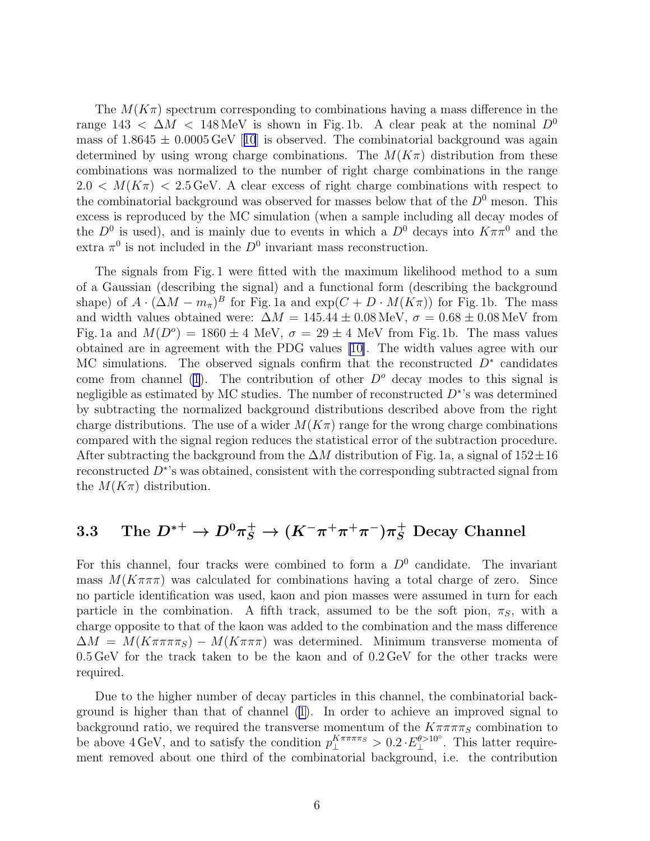The  $M(K\pi)$  spectrum corresponding to combinations having a mass difference in the range 143 <  $\Delta M$  < 148 MeV is shown in Fig. 1b. A clear peak at the nominal  $D^0$ massof  $1.8645 \pm 0.0005 \,\text{GeV}$  [[10](#page-21-0)] is observed. The combinatorial background was again determined by using wrong charge combinations. The  $M(K_{\pi})$  distribution from these combinations was normalized to the number of right charge combinations in the range  $2.0 < M(K_{\pi}) < 2.5 \,\text{GeV}$ . A clear excess of right charge combinations with respect to the combinatorial background was observed for masses below that of the  $D^0$  meson. This excess is reproduced by the MC simulation (when a sample including all decay modes of the  $D^0$  is used), and is mainly due to events in which a  $D^0$  decays into  $K\pi\pi^0$  and the extra  $\pi^0$  is not included in the  $D^0$  invariant mass reconstruction.

The signals from Fig. 1 were fitted with the maximum likelihood method to a sum of a Gaussian (describing the signal) and a functional form (describing the background shape) of  $A \cdot (\Delta M - m_{\pi})^B$  for Fig. 1a and  $\exp(C + D \cdot M(K\pi))$  for Fig. 1b. The mass and width values obtained were:  $\Delta M = 145.44 \pm 0.08 \,\text{MeV}$ ,  $\sigma = 0.68 \pm 0.08 \,\text{MeV}$  from Fig. 1a and  $M(D^o) = 1860 \pm 4$  MeV,  $\sigma = 29 \pm 4$  MeV from Fig. 1b. The mass values obtained are in agreement with the PDG values [\[10\]](#page-21-0). The width values agree with our MC simulations. The observed signals confirm that the reconstructed  $D^*$  candidates come from channel [\(1](#page-10-0)). The contribution of other  $D^{\circ}$  decay modes to this signal is negligible as estimated by MC studies. The number of reconstructed  $D^*$ 's was determined by subtracting the normalized background distributions described above from the right charge distributions. The use of a wider  $M(K_{\pi})$  range for the wrong charge combinations compared with the signal region reduces the statistical error of the subtraction procedure. After subtracting the background from the  $\Delta M$  distribution of Fig. 1a, a signal of  $152 \pm 16$ reconstructed  $D^*$ 's was obtained, consistent with the corresponding subtracted signal from the  $M(K_{\pi})$  distribution.

## $3.3\quad \hbox{ The } D^{*+}\to D^0\pi^+_S\to (K^-\pi^+\pi^+\pi^-)\pi^+_S\hbox{ Decay Channel}$

For this channel, four tracks were combined to form a  $D^0$  candidate. The invariant mass  $M(K\pi\pi\pi)$  was calculated for combinations having a total charge of zero. Since no particle identification was used, kaon and pion masses were assumed in turn for each particle in the combination. A fifth track, assumed to be the soft pion,  $\pi_S$ , with a charge opposite to that of the kaon was added to the combination and the mass difference  $\Delta M = M(K \pi \pi \pi g) - M(K \pi \pi \pi)$  was determined. Minimum transverse momenta of 0.5 GeV for the track taken to be the kaon and of 0.2 GeV for the other tracks were required.

Due to the higher number of decay particles in this channel, the combinatorial background is higher than that of channel([1\)](#page-10-0). In order to achieve an improved signal to background ratio, we required the transverse momentum of the  $K\pi\pi\pi\pi_S$  combination to be above 4 GeV, and to satisfy the condition  $p_{\perp}^{K\pi\pi\pi\pi_S} > 0.2 \cdot E_{\perp}^{\theta > 10^{\circ}}$ . This latter requirement removed about one third of the combinatorial background, i.e. the contribution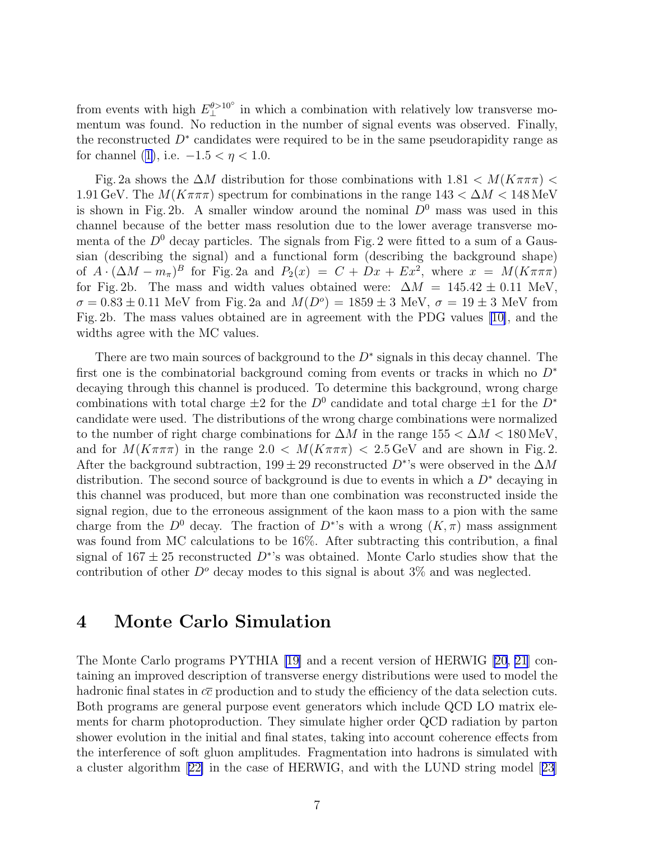from events with high  $E_{\perp}^{\theta > 10^{\circ}}$  in which a combination with relatively low transverse momentum was found. No reduction in the number of signal events was observed. Finally, the reconstructed  $D^*$  candidates were required to be in the same pseudorapidity range as for channel [\(1\)](#page-10-0), i.e.  $-1.5 < \eta < 1.0$ .

Fig. 2a shows the  $\Delta M$  distribution for those combinations with  $1.81 < M(K\pi\pi\pi)$ 1.91 GeV. The  $M(K\pi\pi\pi)$  spectrum for combinations in the range  $143 < \Delta M < 148$  MeV is shown in Fig. 2b. A smaller window around the nominal  $D^0$  mass was used in this channel because of the better mass resolution due to the lower average transverse momenta of the  $D^0$  decay particles. The signals from Fig. 2 were fitted to a sum of a Gaussian (describing the signal) and a functional form (describing the background shape) of  $A \cdot (\Delta M - m_{\pi})^B$  for Fig. 2a and  $P_2(x) = C + Dx + Ex^2$ , where  $x = M(K\pi\pi\pi)$ for Fig. 2b. The mass and width values obtained were:  $\Delta M = 145.42 \pm 0.11$  MeV,  $\sigma = 0.83 \pm 0.11$  MeV from Fig. 2a and  $M(D^o) = 1859 \pm 3$  MeV,  $\sigma = 19 \pm 3$  MeV from Fig. 2b. The mass values obtained are in agreement with the PDG values [\[10\]](#page-21-0), and the widths agree with the MC values.

There are two main sources of background to the  $D^*$  signals in this decay channel. The first one is the combinatorial background coming from events or tracks in which no  $D^*$ decaying through this channel is produced. To determine this background, wrong charge combinations with total charge  $\pm 2$  for the  $D^0$  candidate and total charge  $\pm 1$  for the  $D^*$ candidate were used. The distributions of the wrong charge combinations were normalized to the number of right charge combinations for  $\Delta M$  in the range  $155 < \Delta M < 180$  MeV, and for  $M(K\pi\pi\pi)$  in the range  $2.0 < M(K\pi\pi\pi) < 2.5$  GeV and are shown in Fig. 2. After the background subtraction, 199 ± 29 reconstructed  $D^*$ 's were observed in the  $\Delta M$ distribution. The second source of background is due to events in which a  $D^*$  decaying in this channel was produced, but more than one combination was reconstructed inside the signal region, due to the erroneous assignment of the kaon mass to a pion with the same charge from the  $D^0$  decay. The fraction of  $D^*$ 's with a wrong  $(K,\pi)$  mass assignment was found from MC calculations to be 16%. After subtracting this contribution, a final signal of  $167 \pm 25$  reconstructed  $D^*$ 's was obtained. Monte Carlo studies show that the contribution of other  $D^{\circ}$  decay modes to this signal is about 3% and was neglected.

### 4 Monte Carlo Simulation

The Monte Carlo programs PYTHIA [\[19\]](#page-22-0) and a recent version of HERWIG [\[20, 21\]](#page-22-0) containing an improved description of transverse energy distributions were used to model the hadronic final states in  $c\bar{c}$  production and to study the efficiency of the data selection cuts. Both programs are general purpose event generators which include QCD LO matrix elements for charm photoproduction. They simulate higher order QCD radiation by parton shower evolution in the initial and final states, taking into account coherence effects from the interference of soft gluon amplitudes. Fragmentation into hadrons is simulated with a cluster algorithm[[22\]](#page-22-0) in the case of HERWIG, and with the LUND string model[[23](#page-22-0)]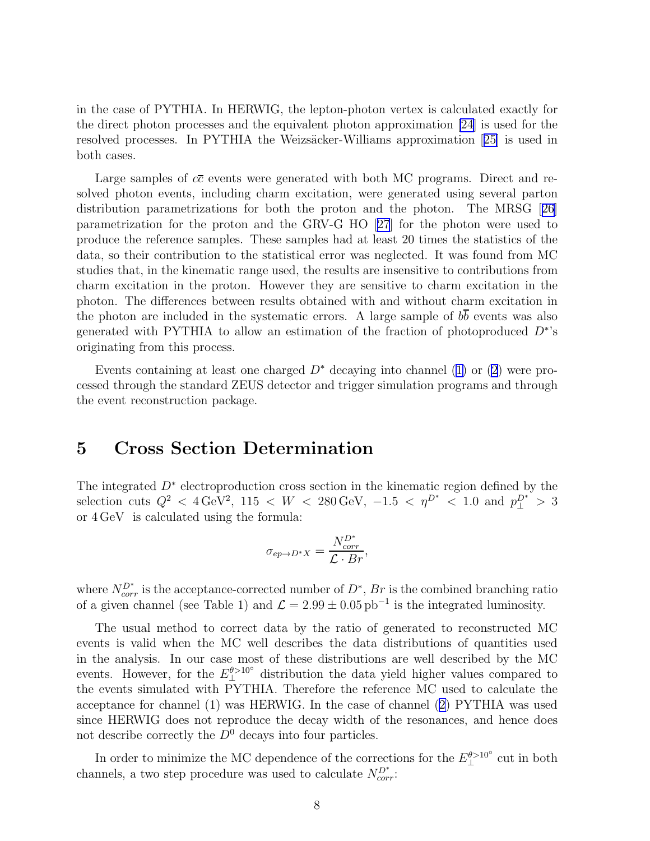in the case of PYTHIA. In HERWIG, the lepton-photon vertex is calculated exactly for the direct photon processes and the equivalent photon approximation [\[24](#page-22-0)] is used for the resolvedprocesses. In PYTHIA the Weizsäcker-Williams approximation [[25\]](#page-22-0) is used in both cases.

Large samples of  $c\bar{c}$  events were generated with both MC programs. Direct and resolved photon events, including charm excitation, were generated using several parton distribution parametrizations for both the proton and the photon. The MRSG[[26](#page-22-0)] parametrization for the proton and the GRV-G HO[[27](#page-22-0)] for the photon were used to produce the reference samples. These samples had at least 20 times the statistics of the data, so their contribution to the statistical error was neglected. It was found from MC studies that, in the kinematic range used, the results are insensitive to contributions from charm excitation in the proton. However they are sensitive to charm excitation in the photon. The differences between results obtained with and without charm excitation in the photon are included in the systematic errors. A large sample of  $b\overline{b}$  events was also generated with PYTHIA to allow an estimation of the fraction of photoproduced  $D^*$ 's originating from this process.

Eventscontaining at least one charged  $D^*$  decaying into channel ([1\)](#page-10-0) or [\(2](#page-10-0)) were processed through the standard ZEUS detector and trigger simulation programs and through the event reconstruction package.

## 5 Cross Section Determination

The integrated  $D^*$  electroproduction cross section in the kinematic region defined by the selection cuts  $Q^2 < 4 \text{ GeV}^2$ , 115 < W < 280 GeV, -1.5 <  $\eta^{D^*}$  < 1.0 and  $p_{\perp}^{D^{*}}>3$ or 4 GeV is calculated using the formula:

$$
\sigma_{ep \to D^*X} = \frac{N_{corr}^{D^*}}{\mathcal{L} \cdot Br},
$$

where  $N_{corr}^{D^*}$  is the acceptance-corrected number of  $D^*$ ,  $Br$  is the combined branching ratio of a given channel (see Table 1) and  $\mathcal{L} = 2.99 \pm 0.05 \,\mathrm{pb}^{-1}$  is the integrated luminosity.

The usual method to correct data by the ratio of generated to reconstructed MC events is valid when the MC well describes the data distributions of quantities used in the analysis. In our case most of these distributions are well described by the MC events. However, for the  $E_{\perp}^{\theta > 10^{\circ}}$  distribution the data yield higher values compared to the events simulated with PYTHIA. Therefore the reference MC used to calculate the acceptance for channel (1) was HERWIG. In the case of channel ([2\)](#page-10-0) PYTHIA was used since HERWIG does not reproduce the decay width of the resonances, and hence does not describe correctly the  $D^0$  decays into four particles.

In order to minimize the MC dependence of the corrections for the  $E_{\perp}^{\theta > 10^{\circ}}$  cut in both channels, a two step procedure was used to calculate  $N_{corr}^{D^*}$ :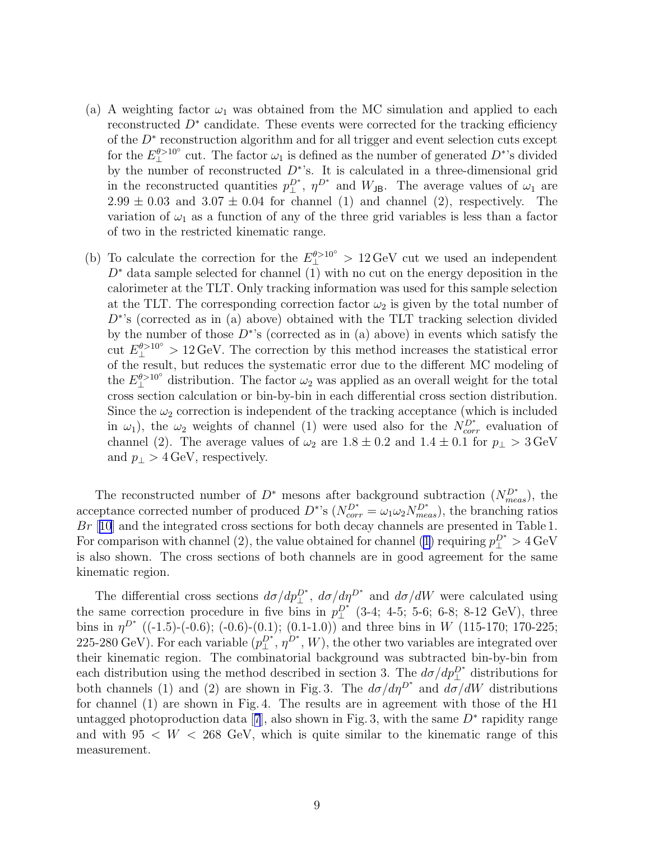- (a) A weighting factor  $\omega_1$  was obtained from the MC simulation and applied to each reconstructed D<sup>∗</sup> candidate. These events were corrected for the tracking efficiency of the  $D^*$  reconstruction algorithm and for all trigger and event selection cuts except for the  $E_{\perp}^{\theta > 10^{\circ}}$  cut. The factor  $\omega_1$  is defined as the number of generated  $D^*$ 's divided by the number of reconstructed  $D^*$ 's. It is calculated in a three-dimensional grid in the reconstructed quantities  $p_{\perp}^{D^*}$ ,  $\eta^{D^*}$  and  $W_{\text{JB}}$ . The average values of  $\omega_1$  are  $2.99 \pm 0.03$  and  $3.07 \pm 0.04$  for channel (1) and channel (2), respectively. The variation of  $\omega_1$  as a function of any of the three grid variables is less than a factor of two in the restricted kinematic range.
- (b) To calculate the correction for the  $E_1^{\theta > 10^{\circ}} > 12 \,\text{GeV}$  cut we used an independent  $D^*$  data sample selected for channel (1) with no cut on the energy deposition in the calorimeter at the TLT. Only tracking information was used for this sample selection at the TLT. The corresponding correction factor  $\omega_2$  is given by the total number of  $D^*$ 's (corrected as in (a) above) obtained with the TLT tracking selection divided by the number of those  $\overline{D^*}$ 's (corrected as in (a) above) in events which satisfy the cut  $E_{\perp}^{\theta > 10^{\circ}} > 12 \,\text{GeV}$ . The correction by this method increases the statistical error of the result, but reduces the systematic error due to the different MC modeling of the  $E_1^{\theta > 10^{\circ}}$  distribution. The factor  $\omega_2$  was applied as an overall weight for the total cross section calculation or bin-by-bin in each differential cross section distribution. Since the  $\omega_2$  correction is independent of the tracking acceptance (which is included in  $\omega_1$ ), the  $\omega_2$  weights of channel (1) were used also for the  $N_{corr}^{D^*}$  evaluation of channel (2). The average values of  $\omega_2$  are  $1.8 \pm 0.2$  and  $1.4 \pm 0.1$  for  $p_{\perp} > 3 \,\text{GeV}$ and  $p_{\perp} > 4$  GeV, respectively.

The reconstructed number of  $D^*$  mesons after background subtraction  $(N_{meas}^{D^*})$ , the acceptance corrected number of produced  $D^*$ 's  $(N_{corr}^{D^*} = \omega_1 \omega_2 N_{meas}^{D^*}),$  the branching ratios Br [[10](#page-21-0)] and the integrated cross sections for both decay channels are presented in Table 1. For comparison with channel (2), the value obtained for channel [\(1\)](#page-10-0) requiring  $p_{\perp}^{D^*} > 4 \text{ GeV}$ is also shown. The cross sections of both channels are in good agreement for the same kinematic region.

The differential cross sections  $d\sigma/dp_{\perp}^{D^*}$ ,  $d\sigma/dp_{\perp}^{D^*}$  and  $d\sigma/dW$  were calculated using the same correction procedure in five bins in  $p_{\perp}^{D^*}$  (3-4; 4-5; 5-6; 6-8; 8-12 GeV), three bins in  $\eta^{D^*}$  ((-1.5)-(-0.6); (-0.6)-(0.1); (0.1-1.0)) and three bins in W (115-170; 170-225; 225-280 GeV). For each variable  $(p_\perp^{D^*}, \eta^{D^*}, W)$ , the other two variables are integrated over their kinematic region. The combinatorial background was subtracted bin-by-bin from each distribution using the method described in section 3. The  $d\sigma/dp_{\perp}^{D^*}$  distributions for both channels (1) and (2) are shown in Fig. 3. The  $d\sigma/d\eta^{D^*}$  and  $d\sigma/dW$  distributions for channel (1) are shown in Fig. 4. The results are in agreement with those of the H1 untaggedphotoproduction data [[7](#page-21-0)], also shown in Fig. 3, with the same  $D^*$  rapidity range and with  $95 < W < 268$  GeV, which is quite similar to the kinematic range of this measurement.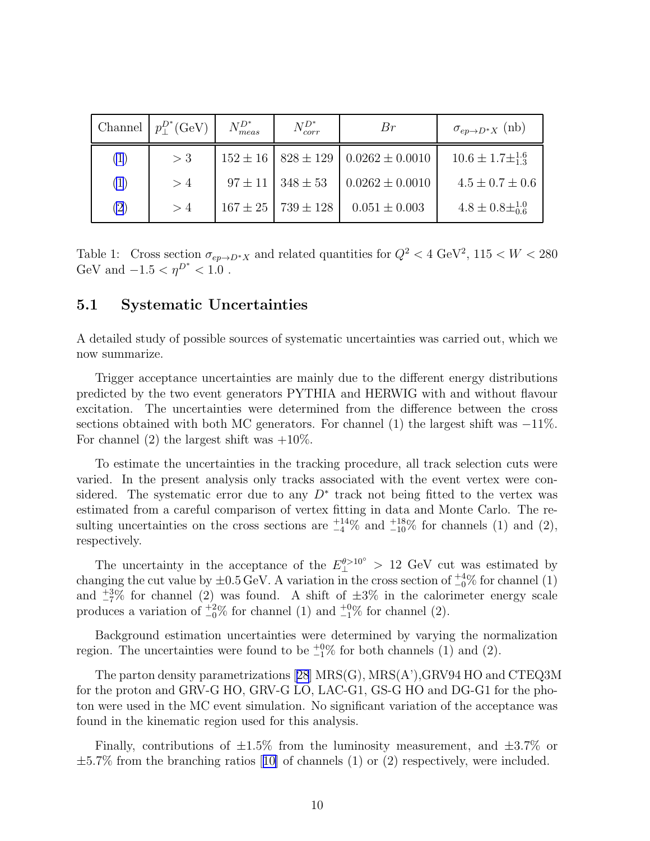|     | Channel $p_+^{D^*}$ (GeV) | $N_{meas}^{D^*}$ | $N_{corr}^{D^*}$             | Br                                                 | $\sigma_{ep\rightarrow D^*X}$ (nb) |
|-----|---------------------------|------------------|------------------------------|----------------------------------------------------|------------------------------------|
| (1) | $>$ 3                     |                  |                              | $152 \pm 16$   $828 \pm 129$   $0.0262 \pm 0.0010$ | $10.6 \pm 1.7 \pm \frac{1.6}{1.3}$ |
| (1) | >4                        |                  | $97 \pm 11$   $348 \pm 53$   | $0.0262 \pm 0.0010$                                | $4.5 \pm 0.7 \pm 0.6$              |
| (2) | >4                        |                  | $167 \pm 25$   $739 \pm 128$ | $0.051 \pm 0.003$                                  | $4.8 \pm 0.8 \pm 1.0$              |

Table 1: Cross section  $\sigma_{ep\to D^*X}$  and related quantities for  $Q^2 < 4 \text{ GeV}^2$ ,  $115 < W < 280$ GeV and  $-1.5 < \eta^{D^*} < 1.0$ .

#### 5.1 Systematic Uncertainties

A detailed study of possible sources of systematic uncertainties was carried out, which we now summarize.

Trigger acceptance uncertainties are mainly due to the different energy distributions predicted by the two event generators PYTHIA and HERWIG with and without flavour excitation. The uncertainties were determined from the difference between the cross sections obtained with both MC generators. For channel (1) the largest shift was  $-11\%$ . For channel (2) the largest shift was  $+10\%$ .

To estimate the uncertainties in the tracking procedure, all track selection cuts were varied. In the present analysis only tracks associated with the event vertex were considered. The systematic error due to any  $D^*$  track not being fitted to the vertex was estimated from a careful comparison of vertex fitting in data and Monte Carlo. The resulting uncertainties on the cross sections are  $^{+14}_{-4}\%$  and  $^{+18}_{-10}\%$  for channels (1) and (2), respectively.

The uncertainty in the acceptance of the  $E_{\perp}^{\theta > 10^{\circ}} > 12$  GeV cut was estimated by changing the cut value by  $\pm 0.5 \,\text{GeV}$ . A variation in the cross section of  $^{+4}_{-0}$ % for channel (1) and  $\frac{+3\%}{-7\%}$  for channel (2) was found. A shift of  $\pm 3\%$  in the calorimeter energy scale produces a variation of  $\frac{+2}{0}$  for channel (1) and  $\frac{+0}{-1}$ % for channel (2).

Background estimation uncertainties were determined by varying the normalization region. The uncertainties were found to be  $_{-1}^{+0}\%$  for both channels (1) and (2).

The parton density parametrizations[[28](#page-22-0)] MRS(G), MRS(A'),GRV94 HO and CTEQ3M for the proton and GRV-G HO, GRV-G LO, LAC-G1, GS-G HO and DG-G1 for the photon were used in the MC event simulation. No significant variation of the acceptance was found in the kinematic region used for this analysis.

Finally, contributions of  $\pm 1.5\%$  from the luminosity measurement, and  $\pm 3.7\%$  or  $\pm 5.7\%$  $\pm 5.7\%$  $\pm 5.7\%$  from the branching ratios [[10\]](#page-21-0) of channels (1) or (2) respectively, were included.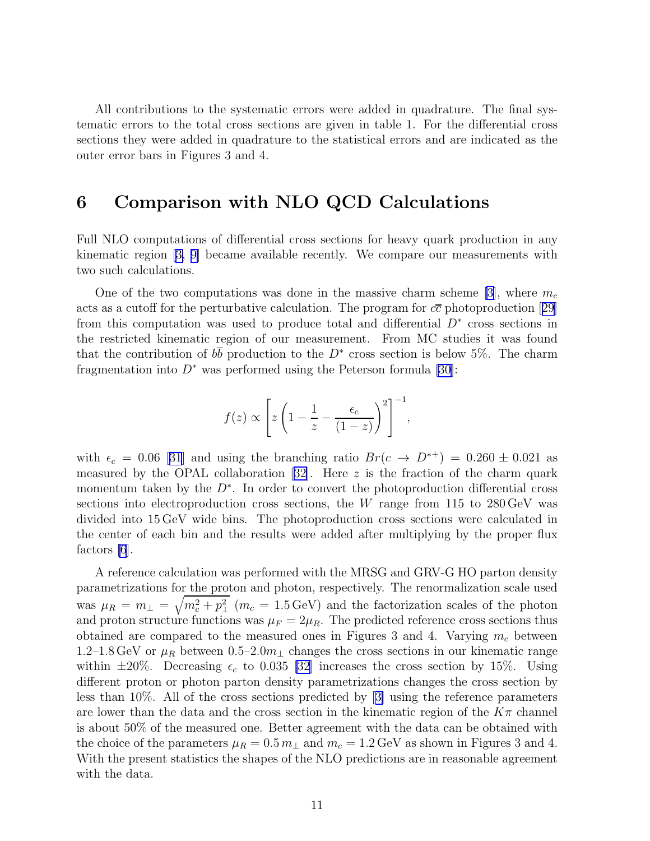All contributions to the systematic errors were added in quadrature. The final systematic errors to the total cross sections are given in table 1. For the differential cross sections they were added in quadrature to the statistical errors and are indicated as the outer error bars in Figures 3 and 4.

## 6 Comparison with NLO QCD Calculations

Full NLO computations of differential cross sections for heavy quark production in any kinematic region[[3, 9\]](#page-21-0) became available recently. We compare our measurements with two such calculations.

One of the two computations was done in the massive charm scheme [\[3\]](#page-21-0), where  $m_c$ actsas a cutoff for the perturbative calculation. The program for  $c\bar{c}$  photoproduction [[29](#page-22-0)] from this computation was used to produce total and differential  $D^*$  cross sections in the restricted kinematic region of our measurement. From MC studies it was found that the contribution of  $b\overline{b}$  production to the  $D^*$  cross section is below 5%. The charm fragmentation into  $D^*$  was performed using the Peterson formula [\[30](#page-22-0)]:

$$
f(z) \propto \left[ z \left( 1 - \frac{1}{z} - \frac{\epsilon_c}{(1-z)} \right)^2 \right]^{-1},
$$

with $\epsilon_c = 0.06$  [[31](#page-22-0)] and using the branching ratio  $Br(c \to D^{*+}) = 0.260 \pm 0.021$  as measuredby the OPAL collaboration [[32\]](#page-22-0). Here  $z$  is the fraction of the charm quark momentum taken by the  $D^*$ . In order to convert the photoproduction differential cross sections into electroproduction cross sections, the W range from 115 to  $280 \,\text{GeV}$  was divided into 15 GeV wide bins. The photoproduction cross sections were calculated in the center of each bin and the results were added after multiplying by the proper flux factors [\[6](#page-21-0)].

A reference calculation was performed with the MRSG and GRV-G HO parton density parametrizations for the proton and photon, respectively. The renormalization scale used was  $\mu_R = m_\perp = \sqrt{m_c^2 + p_\perp^2}$  ( $m_c = 1.5 \,\text{GeV}$ ) and the factorization scales of the photon and proton structure functions was  $\mu_F = 2\mu_R$ . The predicted reference cross sections thus obtained are compared to the measured ones in Figures 3 and 4. Varying  $m_c$  between 1.2–1.8 GeV or  $\mu_R$  between 0.5–2.0 $m_\perp$  changes the cross sections in our kinematic range within  $\pm 20\%$ . Decreasing  $\epsilon_c$  to 0.035 [\[32](#page-22-0)] increases the cross section by 15%. Using different proton or photon parton density parametrizations changes the cross section by less than 10%. All of the cross sections predicted by[[3\]](#page-21-0) using the reference parameters are lower than the data and the cross section in the kinematic region of the  $K\pi$  channel is about 50% of the measured one. Better agreement with the data can be obtained with the choice of the parameters  $\mu_R = 0.5 m_\perp$  and  $m_c = 1.2 \,\text{GeV}$  as shown in Figures 3 and 4. With the present statistics the shapes of the NLO predictions are in reasonable agreement with the data.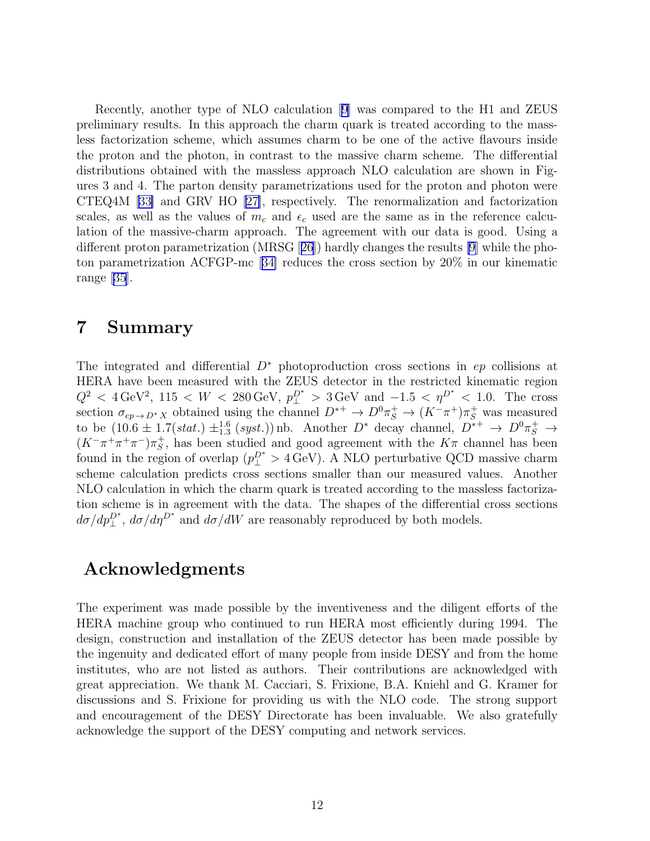Recently, another type of NLO calculation[[9\]](#page-21-0) was compared to the H1 and ZEUS preliminary results. In this approach the charm quark is treated according to the massless factorization scheme, which assumes charm to be one of the active flavours inside the proton and the photon, in contrast to the massive charm scheme. The differential distributions obtained with the massless approach NLO calculation are shown in Figures 3 and 4. The parton density parametrizations used for the proton and photon were CTEQ4M [\[33\]](#page-22-0) and GRV HO[[27\]](#page-22-0), respectively. The renormalization and factorization scales, as well as the values of  $m_c$  and  $\epsilon_c$  used are the same as in the reference calculation of the massive-charm approach. The agreement with our data is good. Using a different proton parametrization (MRSG[[26](#page-22-0)]) hardly changes the results [\[9](#page-21-0)] while the photon parametrization ACFGP-mc[[34\]](#page-22-0) reduces the cross section by 20% in our kinematic range [\[35\]](#page-22-0).

## 7 Summary

The integrated and differential  $D^*$  photoproduction cross sections in  $ep$  collisions at HERA have been measured with the ZEUS detector in the restricted kinematic region  $Q^2 < 4 \,\text{GeV}^2$ , 115 <  $W < 280 \,\text{GeV}$ ,  $p_{\perp}^{D^*} > 3 \,\text{GeV}$  and  $-1.5 < \eta^{D^*} < 1.0$ . The cross section  $\sigma_{ep\to D^*X}$  obtained using the channel  $D^{*+} \to D^0 \pi_S^+ \to (K^- \pi^+) \pi_S^+$  was measured to be  $(10.6 \pm 1.7(stat.) \pm^{1.6}_{1.3} (syst.))$  nb. Another  $D^*$  decay channel,  $D^{*+} \rightarrow D^0 \pi_S^+ \rightarrow$  $(K^-\pi^+\pi^+\pi^-)\pi_S^+$  $s<sub>S</sub>$ , has been studied and good agreement with the  $K\pi$  channel has been found in the region of overlap  $(p_{\perp}^{D^*} > 4 \,\text{GeV})$ . A NLO perturbative QCD massive charm scheme calculation predicts cross sections smaller than our measured values. Another NLO calculation in which the charm quark is treated according to the massless factorization scheme is in agreement with the data. The shapes of the differential cross sections  $d\sigma/dp_{\perp}^{D^*}$ ,  $d\sigma/d\eta^{D^*}$  and  $d\sigma/dW$  are reasonably reproduced by both models.

## Acknowledgments

The experiment was made possible by the inventiveness and the diligent efforts of the HERA machine group who continued to run HERA most efficiently during 1994. The design, construction and installation of the ZEUS detector has been made possible by the ingenuity and dedicated effort of many people from inside DESY and from the home institutes, who are not listed as authors. Their contributions are acknowledged with great appreciation. We thank M. Cacciari, S. Frixione, B.A. Kniehl and G. Kramer for discussions and S. Frixione for providing us with the NLO code. The strong support and encouragement of the DESY Directorate has been invaluable. We also gratefully acknowledge the support of the DESY computing and network services.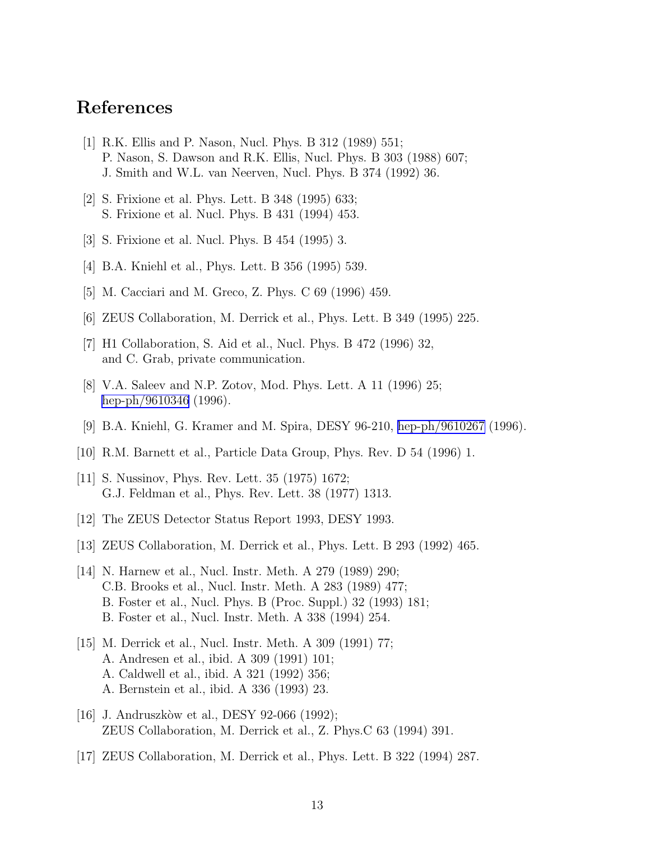## <span id="page-21-0"></span>References

- [1] R.K. Ellis and P. Nason, Nucl. Phys. B 312 (1989) 551; P. Nason, S. Dawson and R.K. Ellis, Nucl. Phys. B 303 (1988) 607; J. Smith and W.L. van Neerven, Nucl. Phys. B 374 (1992) 36.
- [2] S. Frixione et al. Phys. Lett. B 348 (1995) 633; S. Frixione et al. Nucl. Phys. B 431 (1994) 453.
- [3] S. Frixione et al. Nucl. Phys. B 454 (1995) 3.
- [4] B.A. Kniehl et al., Phys. Lett. B 356 (1995) 539.
- [5] M. Cacciari and M. Greco, Z. Phys. C 69 (1996) 459.
- [6] ZEUS Collaboration, M. Derrick et al., Phys. Lett. B 349 (1995) 225.
- [7] H1 Collaboration, S. Aid et al., Nucl. Phys. B 472 (1996) 32, and C. Grab, private communication.
- [8] V.A. Saleev and N.P. Zotov, Mod. Phys. Lett. A 11 (1996) 25; [hep-ph/9610346](http://arxiv.org/abs/hep-ph/9610346) (1996).
- [9] B.A. Kniehl, G. Kramer and M. Spira, DESY 96-210, [hep-ph/9610267](http://arxiv.org/abs/hep-ph/9610267) (1996).
- [10] R.M. Barnett et al., Particle Data Group, Phys. Rev. D 54 (1996) 1.
- [11] S. Nussinov, Phys. Rev. Lett. 35 (1975) 1672; G.J. Feldman et al., Phys. Rev. Lett. 38 (1977) 1313.
- [12] The ZEUS Detector Status Report 1993, DESY 1993.
- [13] ZEUS Collaboration, M. Derrick et al., Phys. Lett. B 293 (1992) 465.
- [14] N. Harnew et al., Nucl. Instr. Meth. A 279 (1989) 290; C.B. Brooks et al., Nucl. Instr. Meth. A 283 (1989) 477; B. Foster et al., Nucl. Phys. B (Proc. Suppl.) 32 (1993) 181; B. Foster et al., Nucl. Instr. Meth. A 338 (1994) 254.
- [15] M. Derrick et al., Nucl. Instr. Meth. A 309 (1991) 77; A. Andresen et al., ibid. A 309 (1991) 101; A. Caldwell et al., ibid. A 321 (1992) 356; A. Bernstein et al., ibid. A 336 (1993) 23.
- [16] J. Andruszkòw et al., DESY 92-066 (1992); ZEUS Collaboration, M. Derrick et al., Z. Phys.C 63 (1994) 391.
- [17] ZEUS Collaboration, M. Derrick et al., Phys. Lett. B 322 (1994) 287.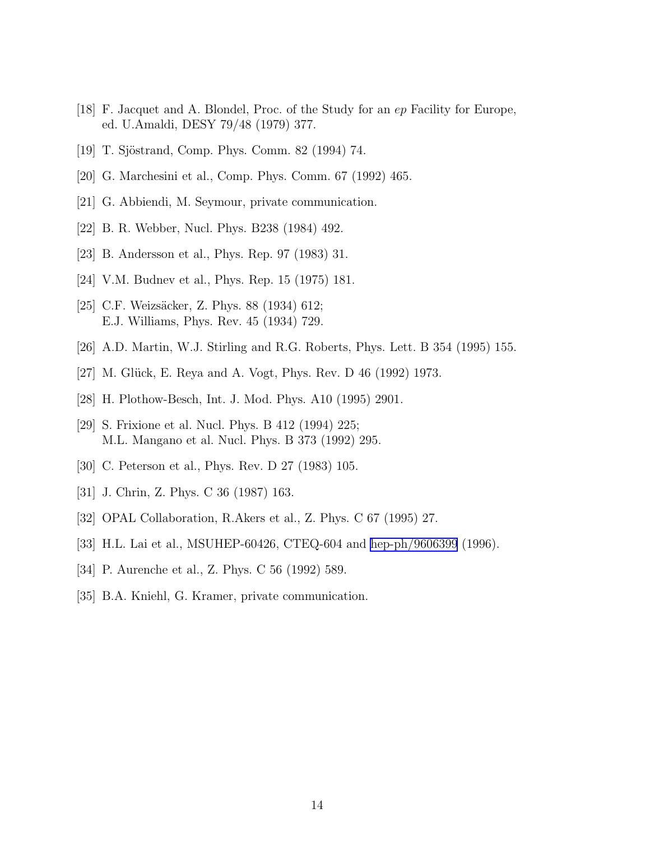- <span id="page-22-0"></span>[18] F. Jacquet and A. Blondel, Proc. of the Study for an ep Facility for Europe, ed. U.Amaldi, DESY 79/48 (1979) 377.
- [19] T. Sjöstrand, Comp. Phys. Comm. 82 (1994) 74.
- [20] G. Marchesini et al., Comp. Phys. Comm. 67 (1992) 465.
- [21] G. Abbiendi, M. Seymour, private communication.
- [22] B. R. Webber, Nucl. Phys. B238 (1984) 492.
- [23] B. Andersson et al., Phys. Rep. 97 (1983) 31.
- [24] V.M. Budnev et al., Phys. Rep. 15 (1975) 181.
- [25] C.F. Weizsäcker, Z. Phys. 88 (1934) 612; E.J. Williams, Phys. Rev. 45 (1934) 729.
- [26] A.D. Martin, W.J. Stirling and R.G. Roberts, Phys. Lett. B 354 (1995) 155.
- [27] M. Glück, E. Reya and A. Vogt, Phys. Rev. D 46 (1992) 1973.
- [28] H. Plothow-Besch, Int. J. Mod. Phys. A10 (1995) 2901.
- [29] S. Frixione et al. Nucl. Phys. B 412 (1994) 225; M.L. Mangano et al. Nucl. Phys. B 373 (1992) 295.
- [30] C. Peterson et al., Phys. Rev. D 27 (1983) 105.
- [31] J. Chrin, Z. Phys. C 36 (1987) 163.
- [32] OPAL Collaboration, R.Akers et al., Z. Phys. C 67 (1995) 27.
- [33] H.L. Lai et al., MSUHEP-60426, CTEQ-604 and [hep-ph/9606399](http://arxiv.org/abs/hep-ph/9606399) (1996).
- [34] P. Aurenche et al., Z. Phys. C 56 (1992) 589.
- [35] B.A. Kniehl, G. Kramer, private communication.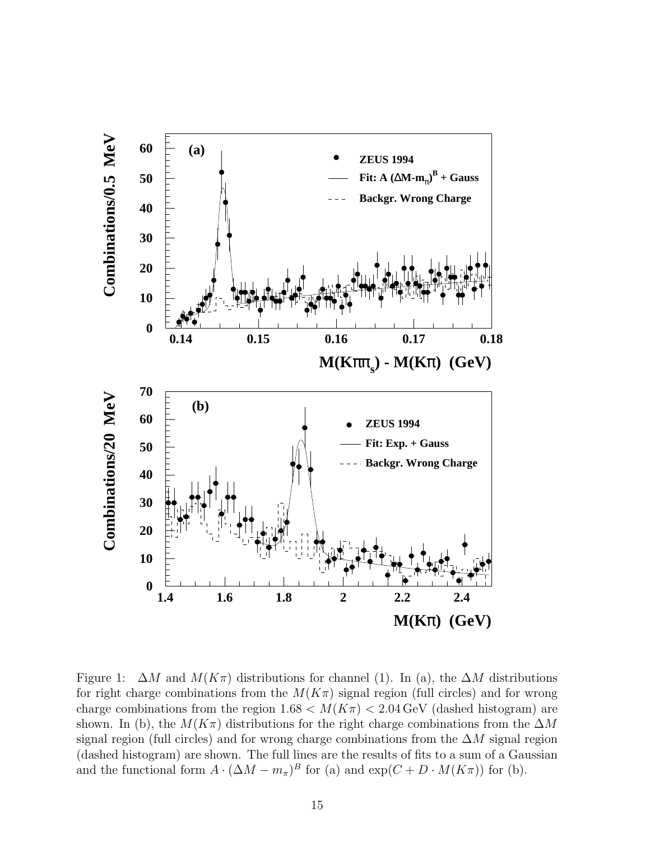

Figure 1:  $\Delta M$  and  $M(K\pi)$  distributions for channel (1). In (a), the  $\Delta M$  distributions for right charge combinations from the  $M(K_{\pi})$  signal region (full circles) and for wrong charge combinations from the region  $1.68 < M(K_{\pi}) < 2.04 \,\text{GeV}$  (dashed histogram) are shown. In (b), the  $M(K\pi)$  distributions for the right charge combinations from the  $\Delta M$ signal region (full circles) and for wrong charge combinations from the  $\Delta M$  signal region (dashed histogram) are shown. The full lines are the results of fits to a sum of a Gaussian and the functional form  $A \cdot (\Delta M - m_{\pi})^B$  for (a) and  $\exp(C + D \cdot M(K_{\pi}))$  for (b).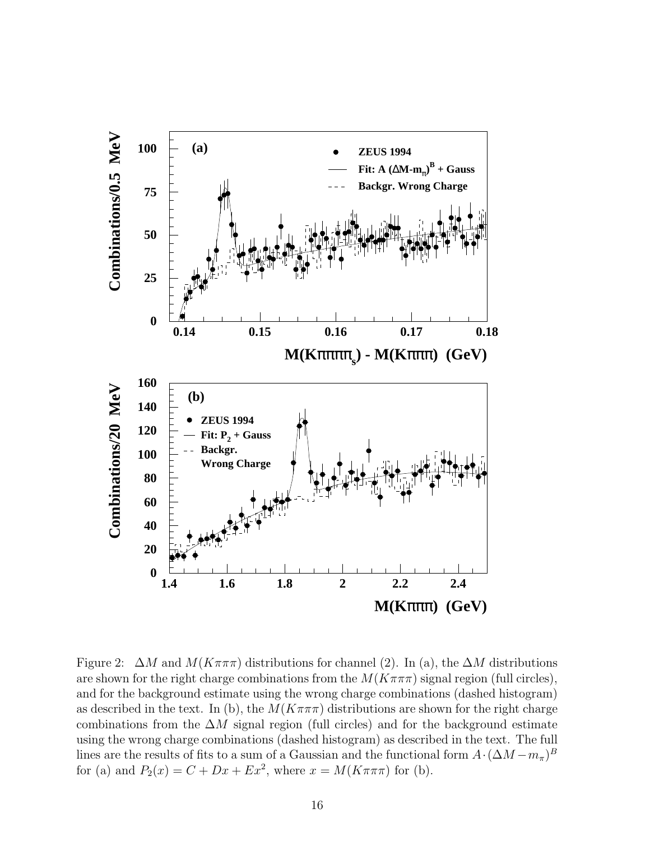

Figure 2:  $\Delta M$  and  $M(K\pi\pi\pi)$  distributions for channel (2). In (a), the  $\Delta M$  distributions are shown for the right charge combinations from the  $M(K\pi\pi\pi)$  signal region (full circles), and for the background estimate using the wrong charge combinations (dashed histogram) as described in the text. In (b), the  $M(K\pi\pi\pi)$  distributions are shown for the right charge combinations from the  $\Delta M$  signal region (full circles) and for the background estimate using the wrong charge combinations (dashed histogram) as described in the text. The full lines are the results of fits to a sum of a Gaussian and the functional form  $A \cdot (\Delta M - m_{\pi})^B$ for (a) and  $P_2(x) = C + Dx + Ex^2$ , where  $x = M(K\pi\pi\pi)$  for (b).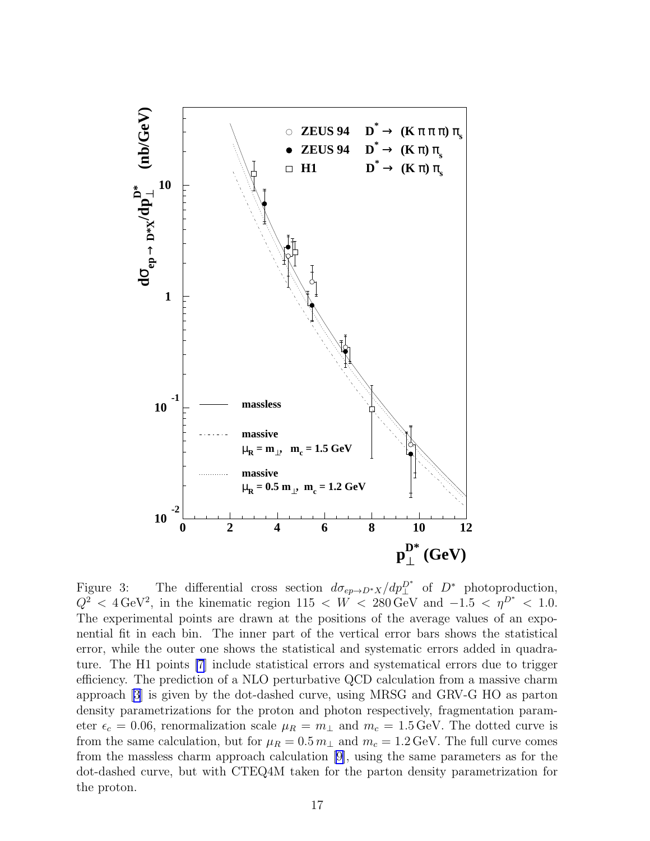

Figure 3: The differential cross section  $d\sigma_{ep\to D^*X}/dp_{\perp}^{D^*}$  of  $D^*$  photoproduction,  $Q^2$  < 4 GeV<sup>2</sup>, in the kinematic region 115 < W < 280 GeV and −1.5 <  $\eta^{D^*}$  < 1.0. The experimental points are drawn at the positions of the average values of an exponential fit in each bin. The inner part of the vertical error bars shows the statistical error, while the outer one shows the statistical and systematic errors added in quadrature. The H1 points [\[7](#page-21-0)] include statistical errors and systematical errors due to trigger efficiency. The prediction of a NLO perturbative QCD calculation from a massive charm approach [\[3](#page-21-0)] is given by the dot-dashed curve, using MRSG and GRV-G HO as parton density parametrizations for the proton and photon respectively, fragmentation parameter  $\epsilon_c = 0.06$ , renormalization scale  $\mu_R = m_\perp$  and  $m_c = 1.5$  GeV. The dotted curve is from the same calculation, but for  $\mu_R = 0.5 m_\perp$  and  $m_c = 1.2 \,\text{GeV}$ . The full curve comes from the massless charm approach calculation [\[9\]](#page-21-0), using the same parameters as for the dot-dashed curve, but with CTEQ4M taken for the parton density parametrization for the proton.